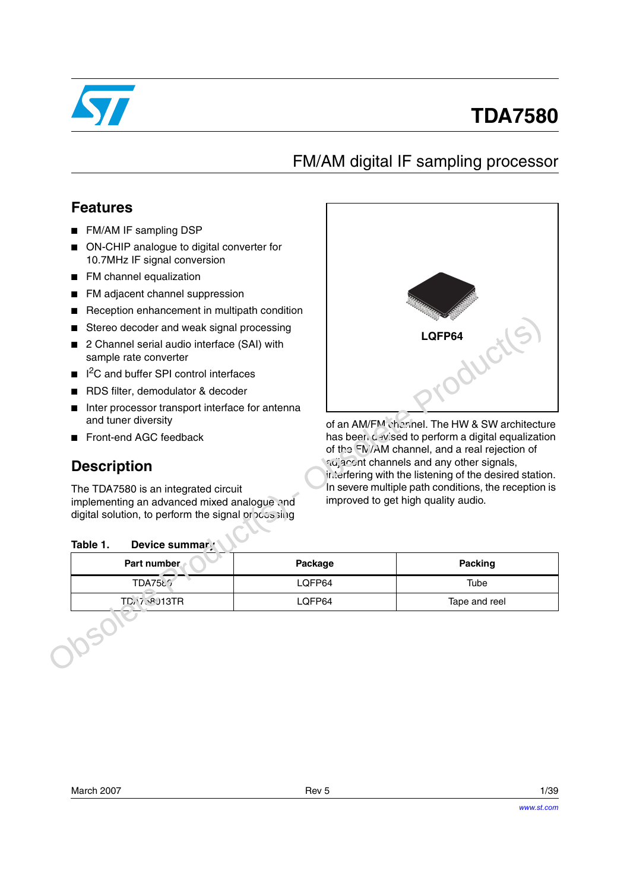

# **TDA7580**

# FM/AM digital IF sampling processor

## **Features**

- FM/AM IF sampling DSP
- ON-CHIP analogue to digital converter for 10.7MHz IF signal conversion
- FM channel equalization
- FM adjacent channel suppression
- Reception enhancement in multipath condition
- Stereo decoder and weak signal processing
- 2 Channel serial audio interface (SAI) with sample rate converter
- I<sup>2</sup>C and buffer SPI control interfaces
- RDS filter, demodulator & decoder
- Inter processor transport interface for antenna and tuner diversity
- Front-end AGC feedback

# **Description**



### <span id="page-0-0"></span>Table 1. Device summary

| Stereo decoder and weak signal processing                                                                                                                               |         | LQFP64                                                                                             |  |  |  |
|-------------------------------------------------------------------------------------------------------------------------------------------------------------------------|---------|----------------------------------------------------------------------------------------------------|--|--|--|
| 2 Channel serial audio interface (SAI) with<br>sample rate converter                                                                                                    |         | WG                                                                                                 |  |  |  |
| <sup>2</sup> C and buffer SPI control interfaces                                                                                                                        |         |                                                                                                    |  |  |  |
| RDS filter, demodulator & decoder                                                                                                                                       |         |                                                                                                    |  |  |  |
| Inter processor transport interface for antenna<br>and tuner diversity                                                                                                  |         | of an AM/FM cherinel. The HW & SW architecture                                                     |  |  |  |
| Front-end AGC feedback                                                                                                                                                  |         | has been cevised to perform a digital equalization                                                 |  |  |  |
| <b>Description</b>                                                                                                                                                      |         | adjacent channels and any other signals,<br>interfering with the listening of the desired station. |  |  |  |
| Device summary                                                                                                                                                          |         | improved to get high quality audio.                                                                |  |  |  |
| Part number                                                                                                                                                             | Package | Packing                                                                                            |  |  |  |
| TDA7581                                                                                                                                                                 | LQFP64  | In severe multiple path conditions, the reception is<br>Tube                                       |  |  |  |
| The TDA7580 is an integrated circuit<br>implementing an advanced mixed analogue and<br>digital solution, to perform the signal or accs sing<br>Table 1.<br>TD. 758013TR | LQFP64  | Tape and reel                                                                                      |  |  |  |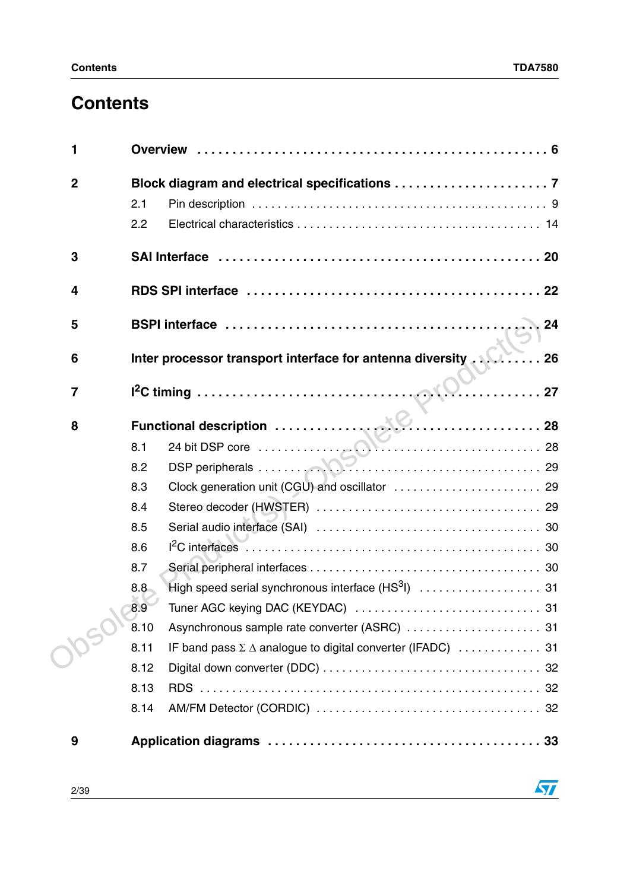$\sqrt{2}$ 

# **Contents**

| 1              |                                                                            |
|----------------|----------------------------------------------------------------------------|
| $\overline{2}$ |                                                                            |
|                | 2.1                                                                        |
|                | 2.2                                                                        |
| 3              |                                                                            |
| 4              |                                                                            |
| 5              |                                                                            |
| 6              | Inter processor transport interface for antenna diversity 26               |
| $\overline{7}$ |                                                                            |
| 8              | Functional description<br>8.1 24 bit DSP core<br>8.2 DSP peripherals<br>29 |
|                |                                                                            |
|                |                                                                            |
|                | Clock generation unit (CGU) and oscillator  29<br>8.3                      |
|                | 8.4                                                                        |
|                | 8.5                                                                        |
|                | 8.6                                                                        |
|                | 8.7                                                                        |
|                | 8.8                                                                        |
|                | 8.9                                                                        |
|                | 8.10                                                                       |
|                | 8.11                                                                       |
|                | 8.12                                                                       |
|                | 8.13                                                                       |
|                | 8.14                                                                       |
| 9              |                                                                            |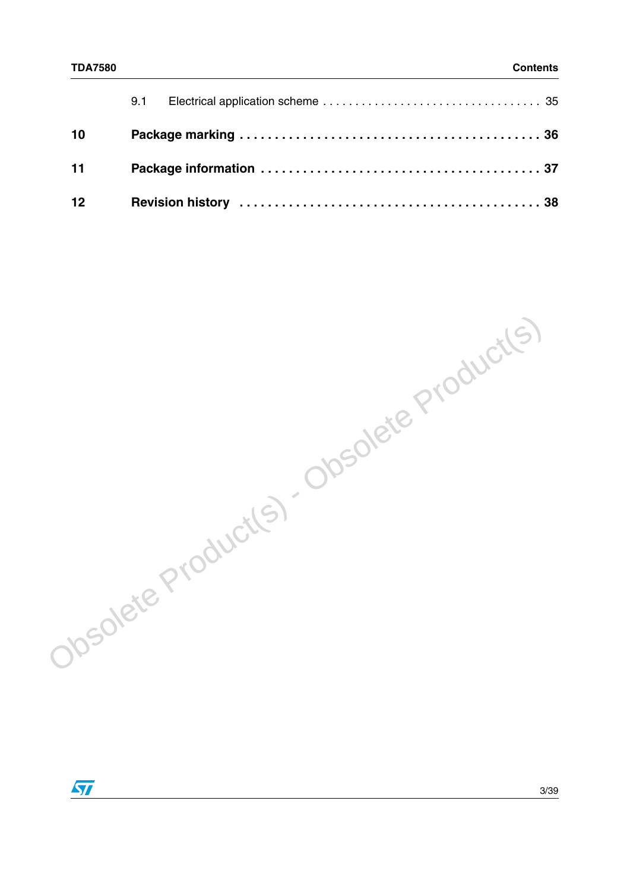| 10     |  |
|--------|--|
| $11 -$ |  |
| 12     |  |

Obsolete Product(s) - Obsolete Product(s)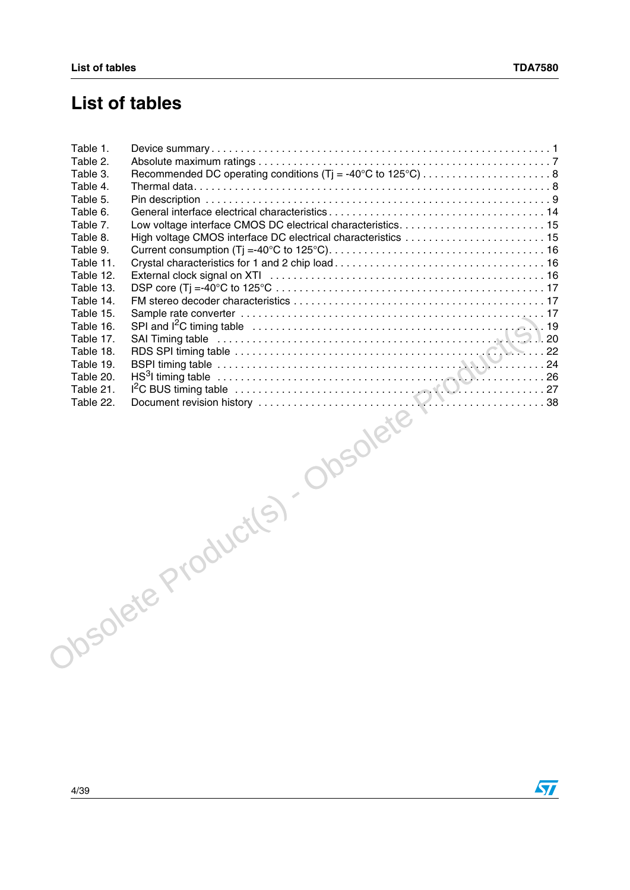# **List of tables**

| Table 1.  |                               |  |
|-----------|-------------------------------|--|
| Table 2.  |                               |  |
| Table 3.  |                               |  |
| Table 4.  |                               |  |
| Table 5.  |                               |  |
| Table 6.  |                               |  |
| Table 7.  |                               |  |
| Table 8.  |                               |  |
| Table 9.  |                               |  |
| Table 11. |                               |  |
| Table 12. |                               |  |
| Table 13. |                               |  |
| Table 14. |                               |  |
| Table 15. |                               |  |
| Table 16. |                               |  |
| Table 17. |                               |  |
| Table 18. |                               |  |
| Table 19. |                               |  |
| Table 20. |                               |  |
| Table 21. |                               |  |
|           |                               |  |
|           | Josolete Product(s). Obsolete |  |

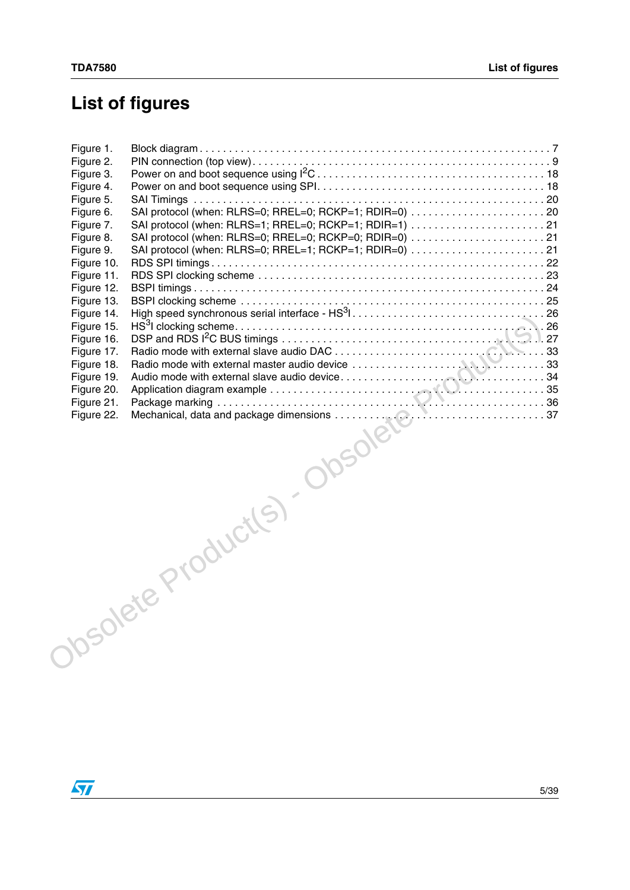# **List of figures**

| Figure 1. |                                                                                                                                                                                                                                |  |
|-----------|--------------------------------------------------------------------------------------------------------------------------------------------------------------------------------------------------------------------------------|--|
| Figure 2. |                                                                                                                                                                                                                                |  |
| Figure 3. |                                                                                                                                                                                                                                |  |
| Figure 4. |                                                                                                                                                                                                                                |  |
| Figure 5. |                                                                                                                                                                                                                                |  |
| Figure 6. |                                                                                                                                                                                                                                |  |
| Figure 7. | SAI protocol (when: RLRS=1; RREL=0; RCKP=1; RDIR=1) 21                                                                                                                                                                         |  |
| Figure 8. | SAI protocol (when: RLRS=0; RREL=0; RCKP=0; RDIR=0)  21                                                                                                                                                                        |  |
|           |                                                                                                                                                                                                                                |  |
|           |                                                                                                                                                                                                                                |  |
|           |                                                                                                                                                                                                                                |  |
|           |                                                                                                                                                                                                                                |  |
|           |                                                                                                                                                                                                                                |  |
|           |                                                                                                                                                                                                                                |  |
|           |                                                                                                                                                                                                                                |  |
|           |                                                                                                                                                                                                                                |  |
|           |                                                                                                                                                                                                                                |  |
|           |                                                                                                                                                                                                                                |  |
|           |                                                                                                                                                                                                                                |  |
|           |                                                                                                                                                                                                                                |  |
|           |                                                                                                                                                                                                                                |  |
|           |                                                                                                                                                                                                                                |  |
|           | All the Production of the Production of the Contract of Contract of the Contract of Contract of the Contract of Contract of the Contract of the Contract of the Contract of the Contract of the Contract of the Contract of th |  |

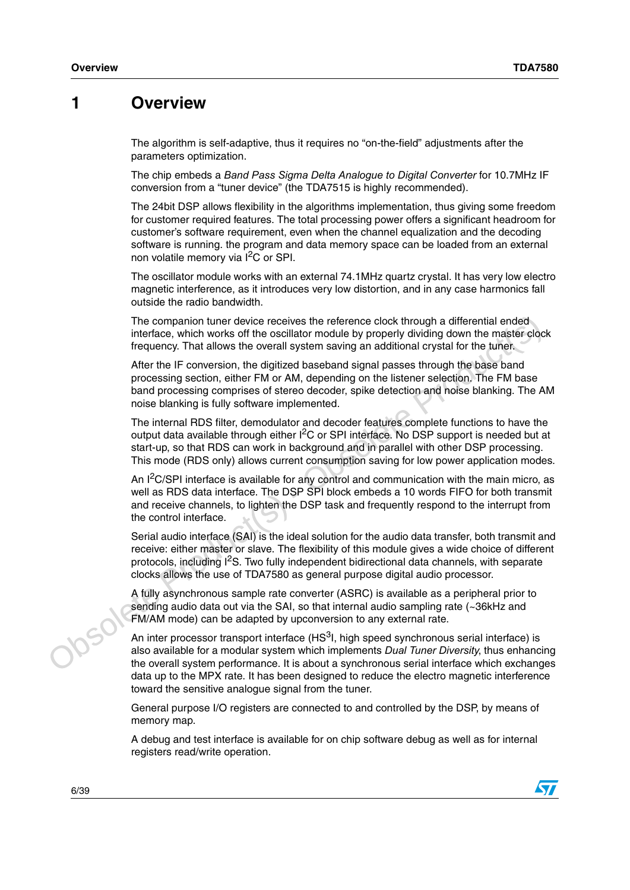### <span id="page-5-0"></span>**1 Overview**

The algorithm is self-adaptive, thus it requires no "on-the-field" adjustments after the parameters optimization.

The chip embeds a *Band Pass Sigma Delta Analogue to Digital Converter* for 10.7MHz IF conversion from a "tuner device" (the TDA7515 is highly recommended).

The 24bit DSP allows flexibility in the algorithms implementation, thus giving some freedom for customer required features. The total processing power offers a significant headroom for customer's software requirement, even when the channel equalization and the decoding software is running. the program and data memory space can be loaded from an external non volatile memory via I<sup>2</sup>C or SPI.

The oscillator module works with an external 74.1MHz quartz crystal. It has very low electro magnetic interference, as it introduces very low distortion, and in any case harmonics fall outside the radio bandwidth.

The companion tuner device receives the reference clock through a differential ended interface, which works off the oscillator module by properly dividing down the master clock frequency. That allows the overall system saving an additional crystal for the tuner.

After the IF conversion, the digitized baseband signal passes through the base band processing section, either FM or AM, depending on the listener selection. The FM base band processing comprises of stereo decoder, spike detection and noise blanking. The AM noise blanking is fully software implemented.

The internal RDS filter, demodulator and decoder features complete functions to have the output data available through either  $I<sup>2</sup>C$  or SPI interface. No DSP support is needed but at start-up, so that RDS can work in background and in parallel with other DSP processing. This mode (RDS only) allows current consumption saving for low power application modes.

The companion tuner device receives the reference clock through a differential ended<br>thretakes, which works off the oscillator module by properly dividing down the master clock<br>frequency. That allows the overall system sa An  $I<sup>2</sup>C/SPI$  interface is available for any control and communication with the main micro, as well as RDS data interface. The DSP SPI block embeds a 10 words FIFO for both transmit and receive channels, to lighten the DSP task and frequently respond to the interrupt from the control interface.

Serial audio interface (SAI) is the ideal solution for the audio data transfer, both transmit and receive: either master or slave. The flexibility of this module gives a wide choice of different protocols, including  $I^2S$ . Two fully independent bidirectional data channels, with separate clocks allows the use of TDA7580 as general purpose digital audio processor.

A fully asynchronous sample rate converter (ASRC) is available as a peripheral prior to sending audio data out via the SAI, so that internal audio sampling rate (~36kHz and FM/AM mode) can be adapted by upconversion to any external rate.

An inter processor transport interface  $(HS<sup>3</sup>I, hich speed synchronous serial interface)$  is also available for a modular system which implements *Dual Tuner Diversity*, thus enhancing the overall system performance. It is about a synchronous serial interface which exchanges data up to the MPX rate. It has been designed to reduce the electro magnetic interference toward the sensitive analogue signal from the tuner.

General purpose I/O registers are connected to and controlled by the DSP, by means of memory map.

A debug and test interface is available for on chip software debug as well as for internal registers read/write operation.



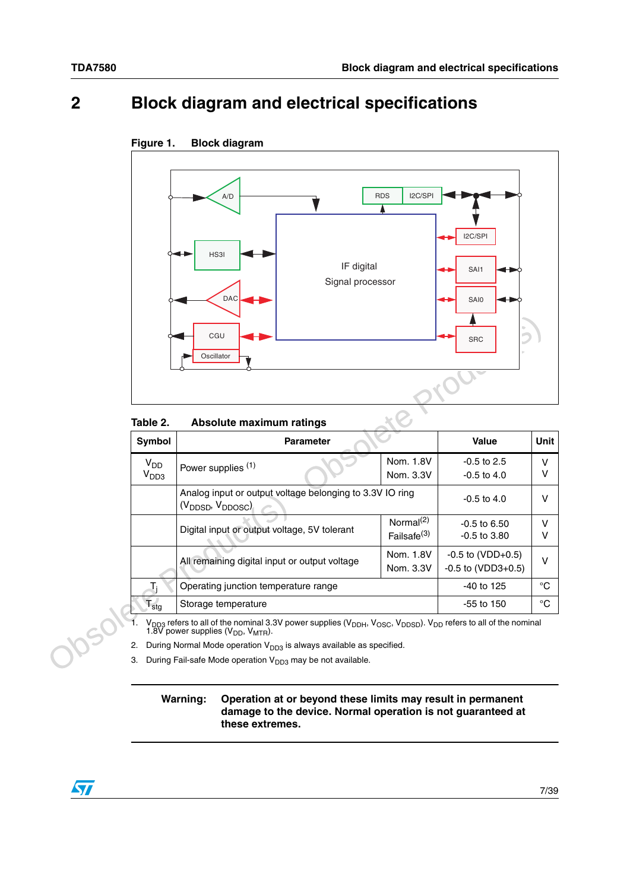# <span id="page-6-0"></span>**2 Block diagram and electrical specifications**



### <span id="page-6-2"></span>**Figure 1. Block diagram**

<span id="page-6-1"></span>Table 2. **Absolute maximum ratings** 

|                             | CGU<br>Oscillator                                                                                                                                                                                                                     |                         | <b>SRC</b>               |             |
|-----------------------------|---------------------------------------------------------------------------------------------------------------------------------------------------------------------------------------------------------------------------------------|-------------------------|--------------------------|-------------|
| Table 2.                    | Absolute maximum ratings                                                                                                                                                                                                              |                         |                          |             |
| Symbol                      | <b>Parameter</b>                                                                                                                                                                                                                      |                         | <b>Value</b>             | Unit        |
| $V_{DD}$                    | Power supplies (1)                                                                                                                                                                                                                    | Nom. 1.8V               | $-0.5$ to 2.5            | $\vee$      |
| V <sub>DD3</sub>            |                                                                                                                                                                                                                                       | Nom. 3.3V               | $-0.5$ to $4.0$          | v           |
|                             | Analog input or output voltage belonging to 3.3V IO ring<br>$(V_{\text{DDSD}}$ , $V_{\text{DDOSC}})$                                                                                                                                  |                         | $-0.5$ to $4.0$          | v           |
|                             | Digital input or output voltage, 5V tolerant                                                                                                                                                                                          | Normal <sup>(2)</sup>   | $-0.5$ to $6.50$         | V           |
|                             |                                                                                                                                                                                                                                       | Failsafe <sup>(3)</sup> | $-0.5$ to $3.80$         | V           |
|                             | All remaining digital input or output voltage                                                                                                                                                                                         | Nom. 1.8V               | $-0.5$ to (VDD $+0.5$ )  | $\vee$      |
|                             |                                                                                                                                                                                                                                       | Nom. 3.3V               | $-0.5$ to (VDD3 $+0.5$ ) |             |
|                             | Operating junction temperature range                                                                                                                                                                                                  |                         | -40 to 125               | $^{\circ}C$ |
| $\mathsf{T}_{\textsf{stg}}$ | Storage temperature                                                                                                                                                                                                                   |                         | $-55$ to 150             | °C          |
|                             | V <sub>DD3</sub> refers to all of the nominal 3.3V power supplies (V <sub>DDH</sub> , V <sub>OSC</sub> , V <sub>DDSD</sub> ). V <sub>DD</sub> refers to all of the nominal 1.8V power supplies (V <sub>DD</sub> , V <sub>MTR</sub> ). |                         |                          |             |
| 2.                          | During Normal Mode operation $V_{DD3}$ is always available as specified.                                                                                                                                                              |                         |                          |             |
| 3.                          | During Fail-safe Mode operation $V_{DD3}$ may be not available.                                                                                                                                                                       |                         |                          |             |

### **Warning: Operation at or beyond these limits may result in permanent damage to the device. Normal operation is not guaranteed at these extremes.**

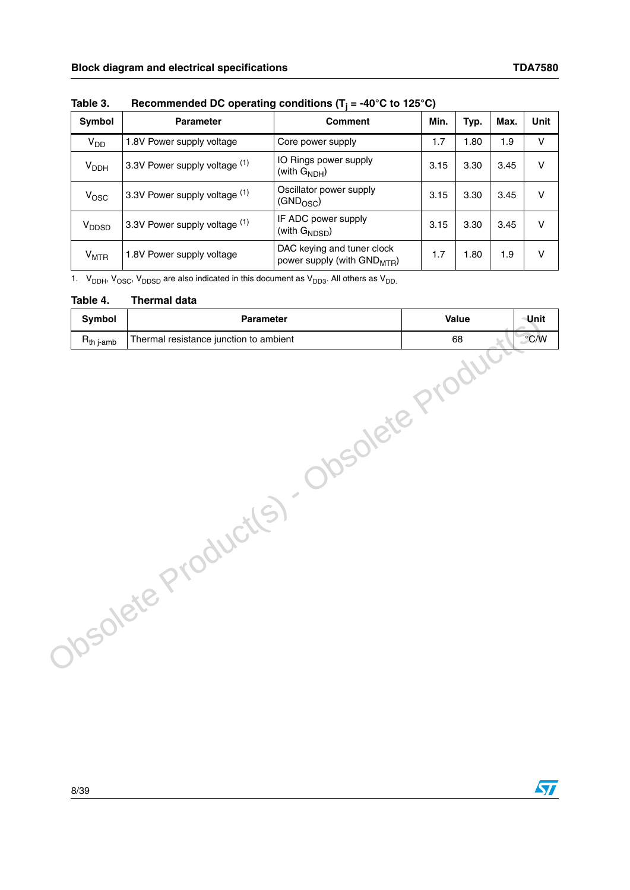| Symbol            | <b>Parameter</b>              | <b>Comment</b>                                                        | Min. | Typ. | Max. | <b>Unit</b> |
|-------------------|-------------------------------|-----------------------------------------------------------------------|------|------|------|-------------|
| V <sub>DD</sub>   | 1.8V Power supply voltage     | Core power supply                                                     | 1.7  | 1.80 | 1.9  | v           |
| $V_{DDH}$         | 3.3V Power supply voltage (1) | IO Rings power supply<br>(with $G_{NDH}$ )                            | 3.15 | 3.30 | 3.45 | ٧           |
| $V_{\rm{OSC}}$    | 3.3V Power supply voltage (1) | Oscillator power supply<br>$(GND_{OSC})$                              | 3.15 | 3.30 | 3.45 | v           |
| V <sub>DDSD</sub> | 3.3V Power supply voltage (1) | IF ADC power supply<br>(with $G_{NDSD}$ )                             | 3.15 | 3.30 | 3.45 | v           |
| $V_{\text{MTR}}$  | 1.8V Power supply voltage     | DAC keying and tuner clock<br>power supply (with GND <sub>MTR</sub> ) | 1.7  | 1.80 | 1.9  | v           |

<span id="page-7-0"></span>**Table 3. Recommended DC operating conditions (Tj = -40°C to 125°C)**

1.  $V_{DDH}$ ,  $V_{OSC}$ ,  $V_{DDSD}$  are also indicated in this document as  $V_{DD3}$ . All others as  $V_{DD}$ 

#### <span id="page-7-1"></span>**Table 4. Thermal data**

| Symbol                 | Parameter                              | Value | <b>Unit</b>   |
|------------------------|----------------------------------------|-------|---------------|
| $R_{th\ j\text{-amb}}$ | Thermal resistance junction to ambient | 68    | $\degree$ C/W |
|                        | <b>10SOlete P</b>                      |       |               |
|                        |                                        |       |               |
|                        | DSORE Product                          |       |               |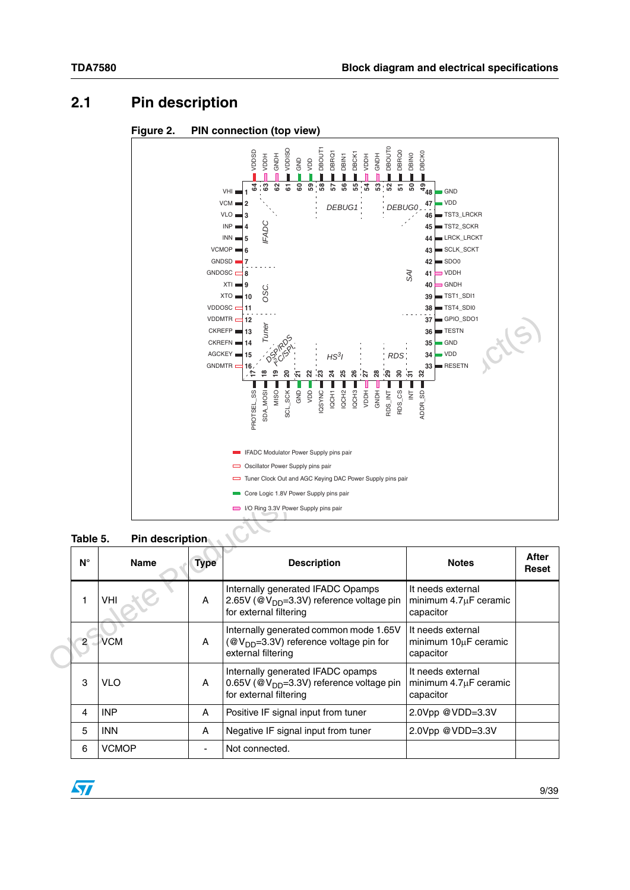# <span id="page-8-0"></span>**2.1 Pin description**

<span id="page-8-2"></span>



<span id="page-8-1"></span>**Table 5. Pin description**

| $N^{\circ}$ | <b>Name</b> | Type | <b>Description</b>                                                                                                  | <b>Notes</b>                                                 | After<br>Reset |
|-------------|-------------|------|---------------------------------------------------------------------------------------------------------------------|--------------------------------------------------------------|----------------|
|             | VHI         | A    | Internally generated IFADC Opamps<br>2.65V (@V <sub>DD</sub> =3.3V) reference voltage pin<br>for external filtering | It needs external<br>minimum $4.7\mu$ F ceramic<br>capacitor |                |
|             | VCM         | A    | Internally generated common mode 1.65V<br>( $@V_{DD} = 3.3V$ ) reference voltage pin for<br>external filtering      | It needs external<br>minimum 10µF ceramic<br>capacitor       |                |
| 3           | VLO         | A    | Internally generated IFADC opamps<br>0.65V ( $@V_{DD} = 3.3V$ ) reference voltage pin<br>for external filtering     | It needs external<br>minimum $4.7\mu$ F ceramic<br>capacitor |                |
| 4           | <b>INP</b>  | A    | Positive IF signal input from tuner                                                                                 | 2.0Vpp @VDD=3.3V                                             |                |
| 5           | <b>INN</b>  | A    | Negative IF signal input from tuner                                                                                 | 2.0Vpp @VDD=3.3V                                             |                |
| 6           | VCMOP       |      | Not connected.                                                                                                      |                                                              |                |

 $\sqrt{2}$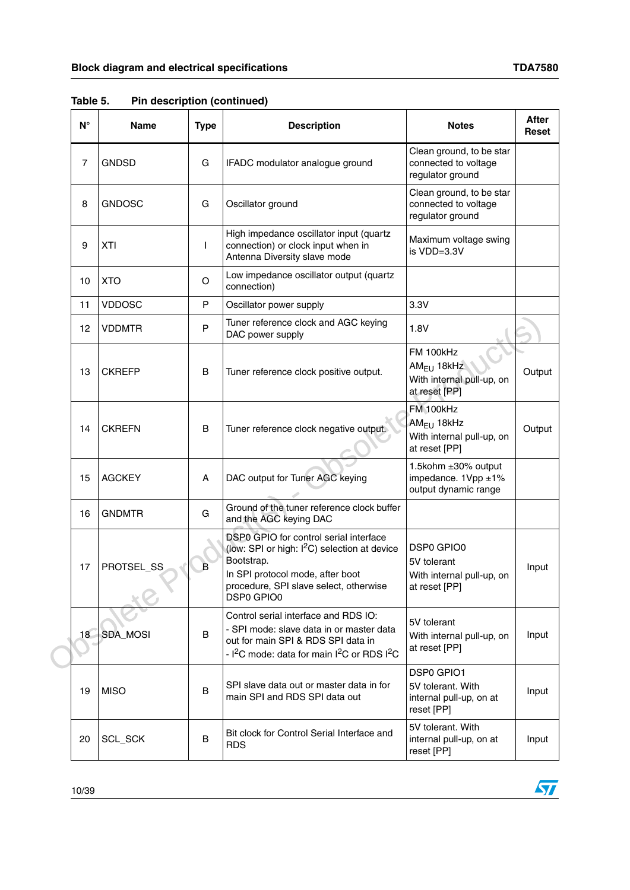|  | $N^{\circ}$ | <b>Name</b>   | <b>Type</b> | <b>Description</b>                                                                                                                                                                                           | <b>Notes</b>                                                                   | <b>After</b><br><b>Reset</b> |
|--|-------------|---------------|-------------|--------------------------------------------------------------------------------------------------------------------------------------------------------------------------------------------------------------|--------------------------------------------------------------------------------|------------------------------|
|  | 7           | <b>GNDSD</b>  | G           | IFADC modulator analogue ground                                                                                                                                                                              | Clean ground, to be star<br>connected to voltage<br>regulator ground           |                              |
|  | 8           | <b>GNDOSC</b> | G           | Oscillator ground                                                                                                                                                                                            | Clean ground, to be star<br>connected to voltage<br>regulator ground           |                              |
|  | 9           | <b>XTI</b>    | L           | High impedance oscillator input (quartz<br>connection) or clock input when in<br>Antenna Diversity slave mode                                                                                                | Maximum voltage swing<br>is VDD=3.3V                                           |                              |
|  | 10          | <b>XTO</b>    | O           | Low impedance oscillator output (quartz<br>connection)                                                                                                                                                       |                                                                                |                              |
|  | 11          | <b>VDDOSC</b> | P           | Oscillator power supply                                                                                                                                                                                      | 3.3V                                                                           |                              |
|  | 12          | <b>VDDMTR</b> | P           | Tuner reference clock and AGC keying<br>DAC power supply                                                                                                                                                     | 1.8V                                                                           |                              |
|  | 13          | <b>CKREFP</b> | В           | Tuner reference clock positive output.                                                                                                                                                                       | FM 100kHz<br>$AM_{EU}$ 18kHz<br>With internal pull-up, on<br>at reset [PP]     | Output                       |
|  | 14          | <b>CKREFN</b> | B           | Tuner reference clock negative output.                                                                                                                                                                       | FM 100kHz<br>$AM_{EU}$ 18kHz<br>With internal pull-up, on<br>at reset [PP]     | Output                       |
|  | 15          | <b>AGCKEY</b> | A           | DAC output for Tuner AGC keying                                                                                                                                                                              | 1.5kohm ±30% output<br>impedance. 1Vpp ±1%<br>output dynamic range             |                              |
|  | 16          | <b>GNDMTR</b> | G           | Ground of the tuner reference clock buffer<br>and the AGC keying DAC                                                                                                                                         |                                                                                |                              |
|  | 17          | PROTSEL_SS    | в           | DSP0 GPIO for control serial interface<br>(low: SPI or high: I <sup>2</sup> C) selection at device<br>Bootstrap.<br>In SPI protocol mode, after boot<br>procedure, SPI slave select, otherwise<br>DSP0 GPIO0 | <b>DSP0 GPIO0</b><br>5V tolerant<br>With internal pull-up, on<br>at reset [PP] | Input                        |
|  | 18          | SDA_MOSI      | B           | Control serial interface and RDS IO:<br>- SPI mode: slave data in or master data<br>out for main SPI & RDS SPI data in<br>- I <sup>2</sup> C mode: data for main I <sup>2</sup> C or RDS I <sup>2</sup> C    | 5V tolerant<br>With internal pull-up, on<br>at reset [PP]                      | Input                        |
|  | 19          | <b>MISO</b>   | B           | SPI slave data out or master data in for<br>main SPI and RDS SPI data out                                                                                                                                    | DSP0 GPIO1<br>5V tolerant. With<br>internal pull-up, on at<br>reset [PP]       | Input                        |
|  | 20          | SCL_SCK       | B           | Bit clock for Control Serial Interface and<br><b>RDS</b>                                                                                                                                                     | 5V tolerant. With<br>internal pull-up, on at<br>reset [PP]                     | Input                        |

**Table 5. Pin description (continued)**

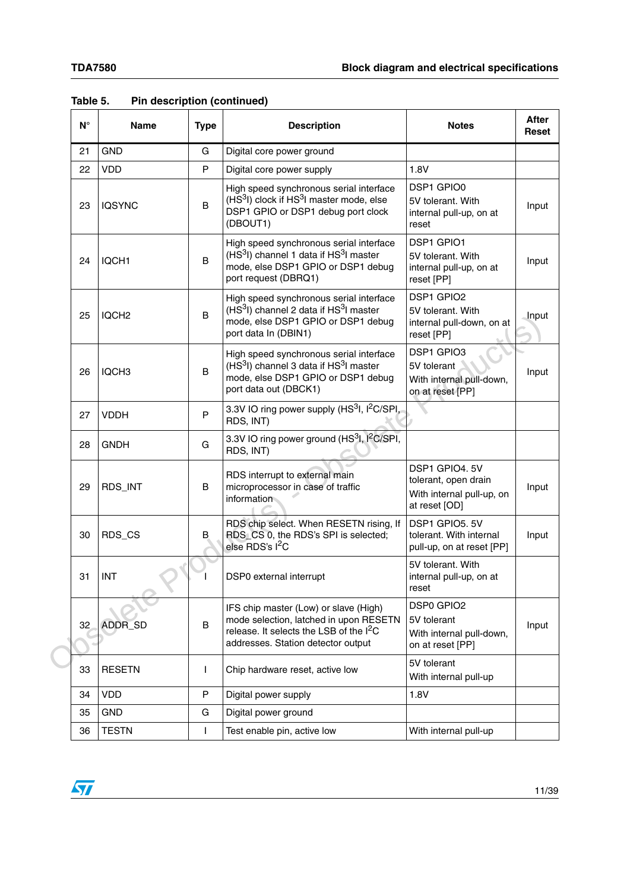|  | $N^{\circ}$ | <b>Name</b>       | <b>Type</b> | <b>Description</b>                                                                                                                                                           | <b>Notes</b>                                                                         | <b>After</b><br><b>Reset</b> |
|--|-------------|-------------------|-------------|------------------------------------------------------------------------------------------------------------------------------------------------------------------------------|--------------------------------------------------------------------------------------|------------------------------|
|  | 21          | <b>GND</b>        | G           | Digital core power ground                                                                                                                                                    |                                                                                      |                              |
|  | 22          | <b>VDD</b>        | P           | Digital core power supply                                                                                                                                                    | 1.8V                                                                                 |                              |
|  | 23          | <b>IQSYNC</b>     | B           | High speed synchronous serial interface<br>(HS <sup>3</sup> I) clock if HS <sup>3</sup> I master mode, else<br>DSP1 GPIO or DSP1 debug port clock<br>(DBOUT1)                | DSP1 GPIO0<br>5V tolerant. With<br>internal pull-up, on at<br>reset                  | Input                        |
|  | 24          | IQCH <sub>1</sub> | B           | High speed synchronous serial interface<br>(HS <sup>3</sup> I) channel 1 data if HS <sup>3</sup> I master<br>mode, else DSP1 GPIO or DSP1 debug<br>port request (DBRQ1)      | <b>DSP1 GPIO1</b><br>5V tolerant. With<br>internal pull-up, on at<br>reset [PP]      | Input                        |
|  | 25          | IQCH <sub>2</sub> | B           | High speed synchronous serial interface<br>(HS <sup>3</sup> I) channel 2 data if HS <sup>3</sup> I master<br>mode, else DSP1 GPIO or DSP1 debug<br>port data In (DBIN1)      | DSP1 GPIO2<br>5V tolerant. With<br>internal pull-down, on at<br>reset [PP]           | Input                        |
|  | 26          | IQCH <sub>3</sub> | B           | High speed synchronous serial interface<br>(HS <sup>3</sup> I) channel 3 data if HS <sup>3</sup> I master<br>mode, else DSP1 GPIO or DSP1 debug<br>port data out (DBCK1)     | DSP1 GPIO3<br>5V tolerant<br>With internal pull-down,<br>on at reset [PP]            | Input                        |
|  | 27          | <b>VDDH</b>       | P           | 3.3V IO ring power supply (HS <sup>3</sup> I, I <sup>2</sup> C/SPI,<br>RDS, INT)                                                                                             |                                                                                      |                              |
|  | 28          | <b>GNDH</b>       | G           | 3.3V IO ring power ground (HS3I, I <sup>2</sup> C/SPI,<br>RDS, INT)                                                                                                          |                                                                                      |                              |
|  | 29          | RDS_INT           | B           | RDS interrupt to external main<br>microprocessor in case of traffic<br>information                                                                                           | DSP1 GPIO4, 5V<br>tolerant, open drain<br>With internal pull-up, on<br>at reset [OD] | Input                        |
|  | 30          | RDS_CS            | B           | RDS chip select. When RESETN rising, If<br>RDS CS 0, the RDS's SPI is selected;<br>else RDS's l <sup>2</sup> C                                                               | DSP1 GPIO5, 5V<br>tolerant. With internal<br>pull-up, on at reset [PP]               | Input                        |
|  | 31          | <b>INT</b>        |             | DSP0 external interrupt                                                                                                                                                      | 5V tolerant. With<br>internal pull-up, on at<br>reset                                |                              |
|  | 32          | ADDR_SD           | B           | IFS chip master (Low) or slave (High)<br>mode selection, latched in upon RESETN<br>release. It selects the LSB of the I <sup>2</sup> C<br>addresses. Station detector output | DSP0 GPIO2<br>5V tolerant<br>With internal pull-down,<br>on at reset [PP]            | Input                        |
|  | 33          | <b>RESETN</b>     | I           | Chip hardware reset, active low                                                                                                                                              | 5V tolerant<br>With internal pull-up                                                 |                              |
|  | 34          | <b>VDD</b>        | P           | Digital power supply                                                                                                                                                         | 1.8V                                                                                 |                              |
|  | 35          | <b>GND</b>        | G           | Digital power ground                                                                                                                                                         |                                                                                      |                              |
|  | 36          | <b>TESTN</b>      | L           | Test enable pin, active low                                                                                                                                                  | With internal pull-up                                                                |                              |

### **Table 5. Pin description (continued)**

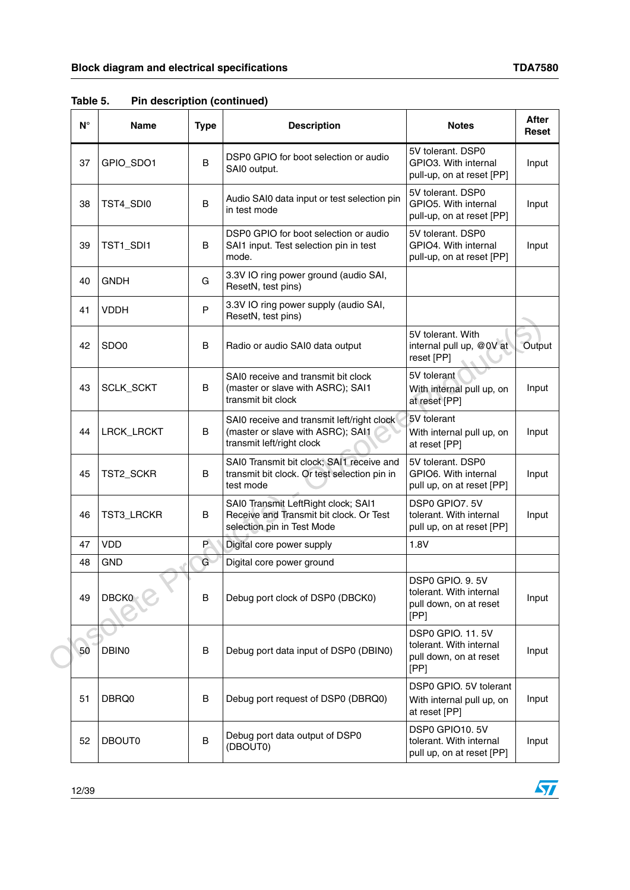|  | $N^{\circ}$ | <b>Name</b>      | <b>Type</b> | <b>Description</b>                                                                                           | <b>Notes</b>                                                                         | After<br>Reset |
|--|-------------|------------------|-------------|--------------------------------------------------------------------------------------------------------------|--------------------------------------------------------------------------------------|----------------|
|  | 37          | GPIO_SDO1        | B           | DSP0 GPIO for boot selection or audio<br>SAI0 output.                                                        | 5V tolerant, DSP0<br>GPIO3. With internal<br>pull-up, on at reset [PP]               | Input          |
|  | 38          | TST4_SDI0        | B           | Audio SAI0 data input or test selection pin<br>in test mode                                                  | 5V tolerant. DSP0<br>GPIO5. With internal<br>pull-up, on at reset [PP]               | Input          |
|  | 39          | TST1_SDI1        | B           | DSP0 GPIO for boot selection or audio<br>SAI1 input. Test selection pin in test<br>mode.                     | 5V tolerant. DSP0<br>GPIO4. With internal<br>pull-up, on at reset [PP]               | Input          |
|  | 40          | <b>GNDH</b>      | G           | 3.3V IO ring power ground (audio SAI,<br>ResetN, test pins)                                                  |                                                                                      |                |
|  | 41          | <b>VDDH</b>      | P           | 3.3V IO ring power supply (audio SAI,<br>ResetN, test pins)                                                  |                                                                                      |                |
|  | 42          | SDO <sub>0</sub> | B           | Radio or audio SAI0 data output                                                                              | 5V tolerant. With<br>internal pull up, @0V at<br>reset [PP]                          | Output         |
|  | 43          | SCLK_SCKT        | B           | SAI0 receive and transmit bit clock<br>(master or slave with ASRC); SAI1<br>transmit bit clock               | 5V tolerant<br>With internal pull up, on<br>at reset [PP]                            | Input          |
|  | 44          | LRCK_LRCKT       | B           | SAI0 receive and transmit left/right clock<br>(master or slave with ASRC); SAI1<br>transmit left/right clock | 5V tolerant<br>With internal pull up, on<br>at reset [PP]                            | Input          |
|  | 45          | TST2_SCKR        | B           | SAI0 Transmit bit clock; SAI1 receive and<br>transmit bit clock. Or test selection pin in<br>test mode       | 5V tolerant, DSP0<br>GPIO6. With internal<br>pull up, on at reset [PP]               | Input          |
|  | 46          | TST3_LRCKR       | В           | SAI0 Transmit LeftRight clock; SAI1<br>Receive and Transmit bit clock. Or Test<br>selection pin in Test Mode | DSP0 GPIO7, 5V<br>tolerant. With internal<br>pull up, on at reset [PP]               | Input          |
|  | 47          | <b>VDD</b>       | P.          | Digital core power supply                                                                                    | 1.8V                                                                                 |                |
|  | 48          | <b>GND</b>       | G           | Digital core power ground                                                                                    |                                                                                      |                |
|  | 49          | DBCK0            | B           | Debug port clock of DSP0 (DBCK0)                                                                             | DSP0 GPIO. 9.5V<br>tolerant. With internal<br>pull down, on at reset<br>[PP]         | Input          |
|  | 50          | DBIN0            | В           | Debug port data input of DSP0 (DBIN0)                                                                        | <b>DSP0 GPIO. 11.5V</b><br>tolerant. With internal<br>pull down, on at reset<br>[PP] | Input          |
|  | 51          | DBRQ0            | B           | Debug port request of DSP0 (DBRQ0)                                                                           | DSP0 GPIO. 5V tolerant<br>With internal pull up, on<br>at reset [PP]                 | Input          |
|  | 52          | <b>DBOUT0</b>    | B           | Debug port data output of DSP0<br>(DBOUT0)                                                                   | DSP0 GPIO10.5V<br>tolerant. With internal<br>pull up, on at reset [PP]               | Input          |

**Table 5. Pin description (continued)**

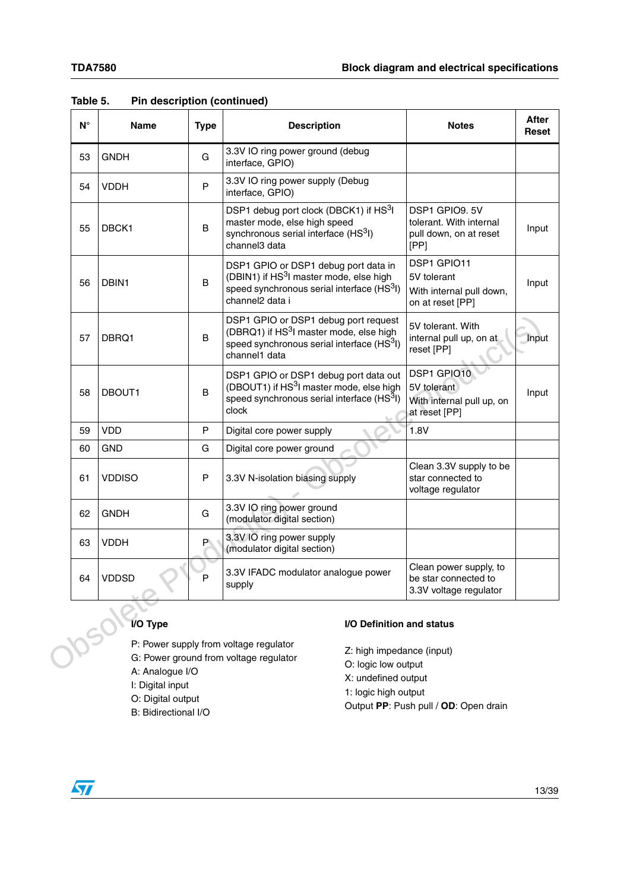| $N^{\circ}$ | <b>Name</b>                     | <b>Type</b> | <b>Description</b>                                                                                                                                                      | <b>Notes</b>                                                                | <b>After</b><br>Reset |
|-------------|---------------------------------|-------------|-------------------------------------------------------------------------------------------------------------------------------------------------------------------------|-----------------------------------------------------------------------------|-----------------------|
| 53          | <b>GNDH</b>                     | G           | 3.3V IO ring power ground (debug<br>interface, GPIO)                                                                                                                    |                                                                             |                       |
| 54          | <b>VDDH</b>                     | P           | 3.3V IO ring power supply (Debug<br>interface, GPIO)                                                                                                                    |                                                                             |                       |
| 55          | DBCK1                           | B           | DSP1 debug port clock (DBCK1) if HS <sup>3</sup> I<br>master mode, else high speed<br>synchronous serial interface (HS <sup>3</sup> I)<br>channel3 data                 | DSP1 GPIO9, 5V<br>tolerant. With internal<br>pull down, on at reset<br>[PP] | Input                 |
| 56          | DBIN1                           | B           | DSP1 GPIO or DSP1 debug port data in<br>(DBIN1) if HS <sup>3</sup> I master mode, else high<br>speed synchronous serial interface (HS3I)<br>channel <sub>2</sub> data i | DSP1 GPIO11<br>5V tolerant<br>With internal pull down,<br>on at reset [PP]  | Input                 |
| 57          | DBRQ1                           | B           | DSP1 GPIO or DSP1 debug port request<br>(DBRQ1) if HS <sup>3</sup> I master mode, else high<br>speed synchronous serial interface (HS <sup>3</sup> I)<br>channel1 data  | 5V tolerant. With<br>internal pull up, on at<br>reset [PP]                  | Input                 |
| 58          | DBOUT1                          | B           | DSP1 GPIO or DSP1 debug port data out<br>(DBOUT1) if HS <sup>3</sup> I master mode, else high<br>speed synchronous serial interface (HS <sup>3</sup> I)<br>clock        | DSP1 GPIO10<br>5V tolerant<br>With internal pull up, on<br>at reset [PP]    | Input                 |
| 59          | <b>VDD</b>                      | P           | Digital core power supply                                                                                                                                               | 1.8V                                                                        |                       |
| 60          | <b>GND</b>                      | G           | Digital core power ground                                                                                                                                               |                                                                             |                       |
| 61          | <b>VDDISO</b>                   | P           | 3.3V N-isolation biasing supply                                                                                                                                         | Clean 3.3V supply to be<br>star connected to<br>voltage regulator           |                       |
| 62          | <b>GNDH</b>                     | G           | 3.3V IO ring power ground<br>(modulator digital section)                                                                                                                |                                                                             |                       |
| 63          | <b>VDDH</b>                     | P           | 3.3V IO ring power supply<br>(modulator digital section)                                                                                                                |                                                                             |                       |
| 64          | <b>VDDSD</b>                    | P           | 3.3V IFADC modulator analogue power<br>supply                                                                                                                           | Clean power supply, to<br>be star connected to<br>3.3V voltage regulator    |                       |
|             | I/O Type                        |             | I/O Definition and status                                                                                                                                               |                                                                             |                       |
|             |                                 |             | P: Power supply from voltage regulator<br>Z: high impedance (input)                                                                                                     |                                                                             |                       |
|             | $\Lambda$ . Analogue $I/\Omega$ |             | G: Power ground from voltage regulator<br>O: logic low output                                                                                                           |                                                                             |                       |

### **Table 5. Pin description (continued)**



- A: Analogue I/O
- I: Digital input
- O: Digital output
- B: Bidirectional I/O

### **I/O Definition and status**

- Z: high impedance (input)
- O: logic low output
- X: undefined output
- 1: logic high output
- Output **PP**: Push pull / **OD**: Open drain

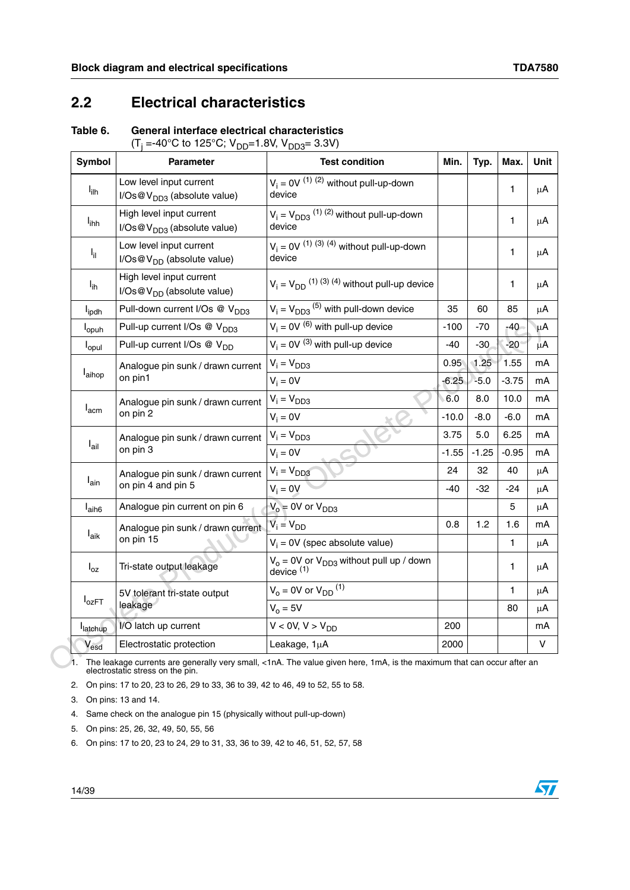### <span id="page-13-0"></span>**2.2 Electrical characteristics**

### <span id="page-13-1"></span>**Table 6. General interface electrical characteristics**

| (T <sub>i</sub> =-40°C to 125°C; V <sub>DD</sub> =1.8V, V <sub>DD3</sub> = 3.3V) |  |  |
|----------------------------------------------------------------------------------|--|--|
|----------------------------------------------------------------------------------|--|--|

| <b>Symbol</b>               | <b>Parameter</b>                                                   | <b>Test condition</b>                                             | Min.    | Typ.    | Max.          | Unit    |
|-----------------------------|--------------------------------------------------------------------|-------------------------------------------------------------------|---------|---------|---------------|---------|
| l <sub>ilh</sub>            | Low level input current<br>$I/Os@VDD3$ (absolute value)            | $V_i = 0V^{(1)(2)}$ without pull-up-down<br>device                |         |         | 1             | $\mu$ A |
| <b>l</b> <sub>ihh</sub>     | High level input current<br>I/Os@V <sub>DD3</sub> (absolute value) | $V_i = V_{DD3}$ (1) (2) without pull-up-down<br>device            |         |         | 1             | μA      |
| $I_{\rm{il}}$               | Low level input current<br>$I/Os@VDD$ (absolute value)             | $V_i = 0V^{(1)(3)(4)}$ without pull-up-down<br>device             |         |         | 1.            | μA      |
| $I_{ih}$                    | High level input current<br>$I/Os@VDD$ (absolute value)            | $V_i = V_{DD}$ (1) (3) (4) without pull-up device                 |         |         | 1             | μA      |
| l <sub>ipdh</sub>           | Pull-down current I/Os @ V <sub>DD3</sub>                          | $V_i = V_{DD3}$ <sup>(5)</sup> with pull-down device              | 35      | 60      | 85            | μA      |
| <b>l</b> opuh               | Pull-up current I/Os @ V <sub>DD3</sub>                            | $V_i = 0V^{(6)}$ with pull-up device                              | $-100$  | -70     | $-40$         | μA      |
| l <sub>opul</sub>           | Pull-up current I/Os @ V <sub>DD</sub>                             | $V_i = 0V^{(3)}$ with pull-up device                              | $-40$   | $-30$   | $-20^{\circ}$ | μĀ      |
|                             | Analogue pin sunk / drawn current                                  | $V_i = V_{DD3}$                                                   | 0.95    | 1.25    | 1.55          | mA      |
| l <sub>aihop</sub>          | on pin1                                                            | $V_i = 0V$                                                        | $-6.25$ | $-5.0$  | $-3.75$       | mA      |
| $I_{\text{acm}}$            | Analogue pin sunk / drawn current                                  | $V_i = V_{DD3}$                                                   | 6.0     | 8.0     | 10.0          | mA      |
|                             | on pin 2                                                           | $V_i = 0V$                                                        | $-10.0$ | $-8.0$  | -6.0          | mA      |
|                             | Analogue pin sunk / drawn current                                  | $V_i = V_{DD3}$                                                   | 3.75    | 5.0     | 6.25          | mA      |
| $I_{\text{ail}}$            | on pin 3                                                           | $V_i = 0V$                                                        | $-1.55$ | $-1.25$ | $-0.95$       | mA      |
|                             | Analogue pin sunk / drawn current                                  | $V_i = V_{DD3}$                                                   | 24      | 32      | 40            | μA      |
| $I_{\text{ain}}$            | on pin 4 and pin 5                                                 | $V_i = 0V$                                                        | -40     | $-32$   | $-24$         | $\mu$ A |
| l <sub>aih6</sub>           | Analogue pin current on pin 6                                      | $V_0 = 0V$ or $V_{DD3}$                                           |         |         | 5             | μA      |
|                             | Analogue pin sunk / drawn current                                  | $V_i = V_{DD}$                                                    | 0.8     | 1.2     | 1.6           | mA      |
| $I_{aik}$                   | on pin 15                                                          | $V_i = 0V$ (spec absolute value)                                  |         |         | 1             | $\mu$ A |
| $I_{oz}$                    | Tri-state output leakage                                           | $V_0 = 0V$ or $V_{DD3}$ without pull up / down<br>$d$ evice $(1)$ |         |         | 1.            | μA      |
|                             | 5V tolerant tri-state output                                       | $V_o = 0V$ or $V_{DD}$ <sup>(1)</sup>                             |         |         | 1             | μA      |
| $I_{OZFT}$                  | leakage                                                            | $Vo = 5V$                                                         |         |         | 80            | μA      |
| latchup                     | I/O latch up current                                               | $V < 0V, V > V_{DD}$                                              | 200     |         |               | mA      |
| $\mathsf{v}_{\mathsf{esd}}$ | Electrostatic protection                                           | Leakage, 1µA                                                      | 2000    |         |               | v       |

1. The leakage currents are generally very small, <1nA. The value given here, 1mA, is the maximum that can occur after an electrostatic stress on the pin.

2. On pins: 17 to 20, 23 to 26, 29 to 33, 36 to 39, 42 to 46, 49 to 52, 55 to 58.

3. On pins: 13 and 14.

4. Same check on the analogue pin 15 (physically without pull-up-down)

5. On pins: 25, 26, 32, 49, 50, 55, 56

6. On pins: 17 to 20, 23 to 24, 29 to 31, 33, 36 to 39, 42 to 46, 51, 52, 57, 58

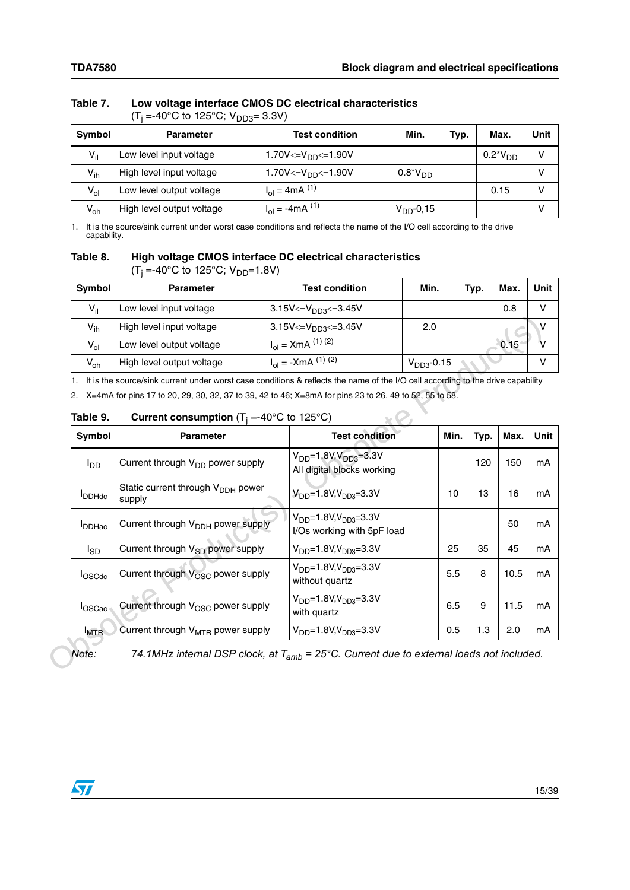|                 | $-$ 10 0 10 120 0, $\mathbf{v}_{\text{H}}$ 11, $\mathbf{v}_{\text{H}}$ 0.0 $\mathbf{v}_{\text{H}}$ |                                               |                    |      |               |      |
|-----------------|----------------------------------------------------------------------------------------------------|-----------------------------------------------|--------------------|------|---------------|------|
| <b>Symbol</b>   | <b>Parameter</b>                                                                                   | <b>Test condition</b>                         | Min.               | Typ. | Max.          | Unit |
| $V_{\parallel}$ | Low level input voltage                                                                            | 1.70V<= $V_{DD}$ <=1.90V                      |                    |      | $0.2^*V_{DD}$ |      |
| $V_{ih}$        | High level input voltage                                                                           | 1.70V<= $V_{DD}$ <=1.90V                      | $0.8^{\ast}V_{DD}$ |      |               |      |
| $V_{ol}$        | Low level output voltage                                                                           | $H_{\text{ol}} = 4 \text{mA}$ <sup>(1)</sup>  |                    |      | 0.15          |      |
| $V_{oh}$        | High level output voltage                                                                          | $H_{\text{ol}} = -4 \text{mA}$ <sup>(1)</sup> | $V_{DD}$ -0,15     |      |               |      |

### <span id="page-14-0"></span> **Table 7. Low voltage interface CMOS DC electrical characteristics**  (T<sub>j</sub> =-40°C to 125°C; V<sub>DD3</sub>= 3.3V)

1. It is the source/sink current under worst case conditions and reflects the name of the I/O cell according to the drive capability.

### <span id="page-14-1"></span> **Table 8. High voltage CMOS interface DC electrical characteristics**  (T<sub>j</sub> =-40°C to 125°C; V<sub>DD</sub>=1.8V)

| Symbol   | <b>Parameter</b>          | <b>Test condition</b>                  | Min.            | Typ. | Max. | Unit |
|----------|---------------------------|----------------------------------------|-----------------|------|------|------|
| $V_{il}$ | Low level input voltage   | 3.15V<= $V_{DD3}$ <= 3.45V             |                 |      | 0.8  | v    |
| $V_{ih}$ | High level input voltage  | 3.15V<= $V_{DD3}$ <=3.45V              | 2.0             |      |      |      |
| $V_{ol}$ | Low level output voltage  | $Hol = XmA(1)(2)$                      |                 |      | 0.15 |      |
| $V_{oh}$ | High level output voltage | $H_{\text{ol}} = -X \text{mA}$ (1) (2) | $V_{DD3}$ -0.15 |      |      |      |

### <span id="page-14-2"></span>**Table 9. Current consumption**  $(T_j = -40^{\circ}C \text{ to } 125^{\circ}C)$

| $V_{ih}$        | High level input voltage                                                                                                                                                                                                                                                                                 | 3.15V<= $V_{DD3}$ <= 3.45V                                      | 2.0          |      |      | v           |
|-----------------|----------------------------------------------------------------------------------------------------------------------------------------------------------------------------------------------------------------------------------------------------------------------------------------------------------|-----------------------------------------------------------------|--------------|------|------|-------------|
| $V_{ol}$        | Low level output voltage                                                                                                                                                                                                                                                                                 | $I_{ol}$ = XmA $^{(1)(2)}$                                      |              |      | 0.15 | V           |
| $V_{oh}$        | High level output voltage                                                                                                                                                                                                                                                                                | $I_{\text{ol}} = -XmA^{(1)(2)}$                                 | $VDD3$ -0.15 |      |      | V           |
| 2.<br>Table 9.  | It is the source/sink current under worst case conditions & reflects the name of the I/O cell according to the drive capability<br>X=4mA for pins 17 to 20, 29, 30, 32, 37 to 39, 42 to 46; X=8mA for pins 23 to 26, 49 to 52, 55 to 58.<br><b>Current consumption</b> ( $T_i = -40^{\circ}C$ to 125 °C) |                                                                 |              |      |      |             |
| Symbol          | <b>Parameter</b>                                                                                                                                                                                                                                                                                         | <b>Test condition</b>                                           | Min.         | Typ. | Max. | <b>Unit</b> |
| l <sub>DD</sub> | Current through V <sub>DD</sub> power supply                                                                                                                                                                                                                                                             | $V_{DD} = 1.8V, V_{DD3} = 3.3V$<br>All digital blocks working   |              | 120  | 150  | mA          |
| <b>I</b> DDHdc  | Static current through V <sub>DDH</sub> power<br>supply                                                                                                                                                                                                                                                  | $V_{DD} = 1.8 V, V_{DD3} = 3.3 V$                               | 10           | 13   | 16   | mA          |
| <b>I</b> DDHac  | Current through V <sub>DDH</sub> power supply                                                                                                                                                                                                                                                            | $V_{DD} = 1.8 V, V_{DD3} = 3.3 V$<br>I/Os working with 5pF load |              |      | 50   | mA          |
| l <sub>SD</sub> | Current through V <sub>SD</sub> power supply                                                                                                                                                                                                                                                             | $V_{DD} = 1.8V, V_{DD3} = 3.3V$                                 | 25           | 35   | 45   | mA          |
| loscdc          | Current through V <sub>OSC</sub> power supply                                                                                                                                                                                                                                                            | $V_{DD} = 1.8V, V_{DD3} = 3.3V$<br>without quartz               | 5.5          | 8    | 10.5 | mA          |
| loscac          | Current through V <sub>OSC</sub> power supply                                                                                                                                                                                                                                                            | $V_{DD} = 1.8 V, V_{DD3} = 3.3 V$<br>with quartz                | 6.5          | 9    | 11.5 | mA          |
|                 | Current through V <sub>MTR</sub> power supply                                                                                                                                                                                                                                                            | $V_{DD} = 1.8V, V_{DD3} = 3.3V$                                 | 0.5          | 1.3  | 2.0  | mA          |

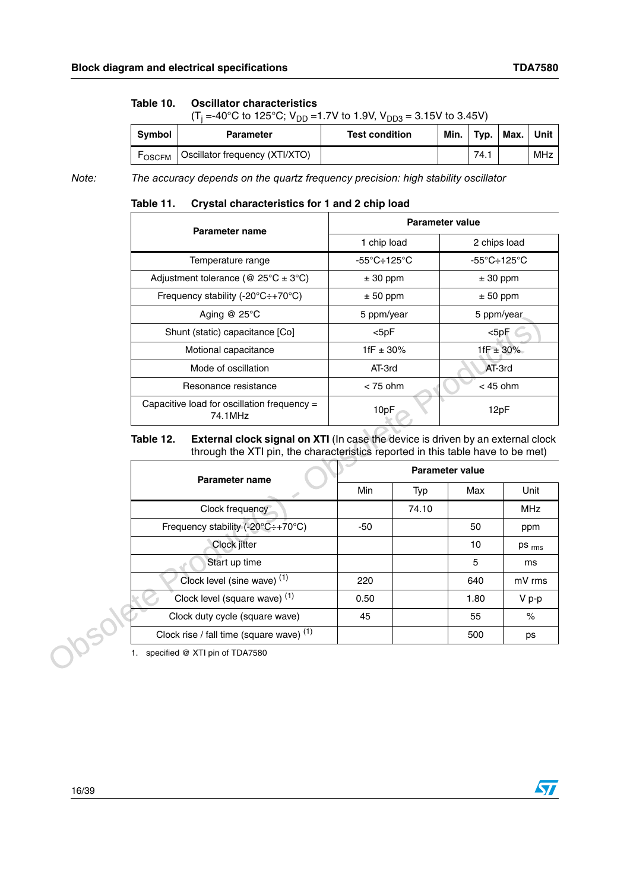#### Table 10. **Table 10. Oscillator characteristics**

(T<sub>j</sub> =-40°C to 125°C; V<sub>DD</sub> =1.7V to 1.9V, V<sub>DD3</sub> = 3.15V to 3.45V)

| <b>Symbol</b> | <b>Parameter</b>               | <b>Test condition</b> | Min. | Typ. | Max. | Unit |
|---------------|--------------------------------|-----------------------|------|------|------|------|
| <b>FOSCEM</b> | Oscillator frequency (XTI/XTO) |                       |      | 74.1 |      | MHz  |

*Note: The accuracy depends on the quartz frequency precision: high stability oscillator*

#### <span id="page-15-0"></span>Table 11. **Crystal characteristics for 1 and 2 chip load**

| Parameter name                                         | Parameter value                         |                                         |  |  |  |
|--------------------------------------------------------|-----------------------------------------|-----------------------------------------|--|--|--|
|                                                        | 1 chip load                             | 2 chips load                            |  |  |  |
| Temperature range                                      | $-55^{\circ}$ C $\div$ 125 $^{\circ}$ C | $-55^{\circ}$ C $\div$ 125 $^{\circ}$ C |  |  |  |
| Adjustment tolerance (@ $25^{\circ}C \pm 3^{\circ}C$ ) | $± 30$ ppm                              | $± 30$ ppm                              |  |  |  |
| Frequency stability (-20 $°C$ :+70 $°C$ )              | $± 50$ ppm                              | $± 50$ ppm                              |  |  |  |
| Aging @ 25°C                                           | 5 ppm/year                              | 5 ppm/year                              |  |  |  |
| Shunt (static) capacitance [Co]                        | $<$ 5pF                                 | $<$ 5pF                                 |  |  |  |
| Motional capacitance                                   | 1fF $\pm$ 30%                           | 1fF $\pm$ 30%                           |  |  |  |
| Mode of oscillation                                    | AT-3rd                                  | AT-3rd                                  |  |  |  |
| Resonance resistance                                   | $<$ 75 ohm                              | $<$ 45 ohm                              |  |  |  |
| Capacitive load for oscillation frequency =<br>74.1MHz | 10pF                                    | 12pF                                    |  |  |  |

#### <span id="page-15-1"></span>Table 12. **External clock signal on XTI** (In case the device is driven by an external clock through the XTI pin, the characteristics reported in this table have to be met)

|           | $A$ giriy $\mathscr Q$ 20 $\mathscr Q$                                                                                                                                    | 5 ppniyear    |       | o ppniyear             |            |
|-----------|---------------------------------------------------------------------------------------------------------------------------------------------------------------------------|---------------|-------|------------------------|------------|
|           | Shunt (static) capacitance [Co]                                                                                                                                           | $<$ 5pF       |       | $<$ 5p $F$             |            |
|           | Motional capacitance                                                                                                                                                      | 1fF $\pm$ 30% |       | 1fF $\pm$ 30%          |            |
|           | Mode of oscillation                                                                                                                                                       | AT-3rd        |       | AT-3rd                 |            |
|           | Resonance resistance                                                                                                                                                      | $<$ 75 ohm    |       | $<$ 45 ohm             |            |
|           | Capacitive load for oscillation frequency =<br>74.1MHz                                                                                                                    | 10pF          |       | 12pF                   |            |
| Table 12. | <b>External clock signal on XTI</b> (In case the device is driven by an external clock<br>through the XTI pin, the characteristics reported in this table have to be met) |               |       |                        |            |
|           | Parameter name                                                                                                                                                            |               |       | <b>Parameter value</b> |            |
|           |                                                                                                                                                                           | Min           | Typ   | Max                    | Unit       |
|           | Clock frequency                                                                                                                                                           |               | 74.10 |                        | <b>MHz</b> |
|           | Frequency stability (-20°C÷+70°C)                                                                                                                                         | $-50$         |       | 50                     | ppm        |
|           | Clock jitter                                                                                                                                                              |               |       | 10                     | ps rms     |
|           | Start up time                                                                                                                                                             |               |       | 5                      | ms         |
|           | Clock level (sine wave) (1)                                                                                                                                               | 220           |       | 640                    | mV rms     |
|           | Clock level (square wave) <sup>(1)</sup>                                                                                                                                  | 0.50          |       | 1.80                   | V p-p      |
|           | Clock duty cycle (square wave)                                                                                                                                            | 45            |       | 55                     | $\%$       |
|           | Clock rise / fall time (square wave) (1)                                                                                                                                  |               |       | 500                    | ps         |
|           | specified @ XTI pin of TDA7580                                                                                                                                            |               |       |                        |            |

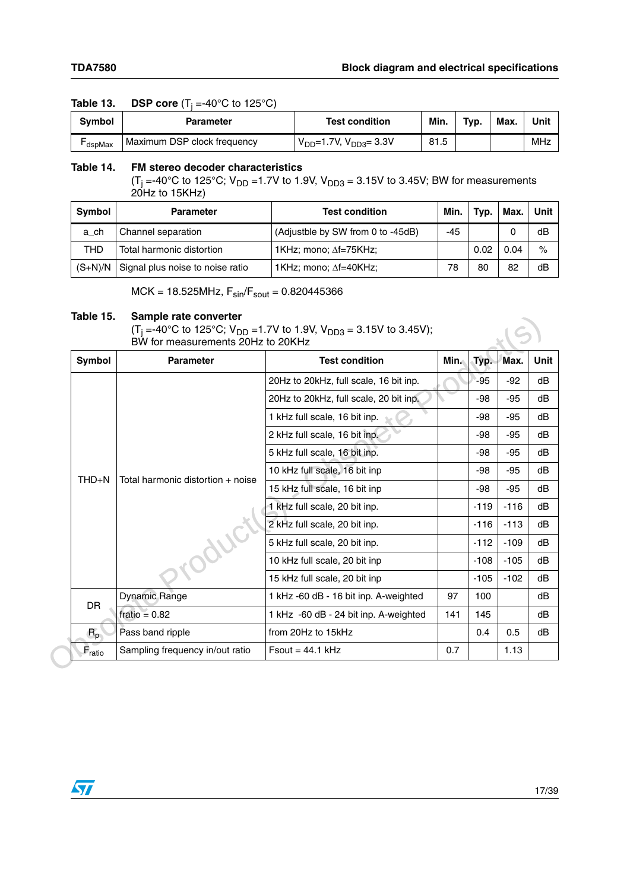### <span id="page-16-0"></span>**Table 13. DSP core**  $(T_j = -40^{\circ}C \text{ to } 125^{\circ}C)$

| Svmbol | Parameter                   | <b>Test condition</b>              | Min. | Typ. | Max. | Unit |
|--------|-----------------------------|------------------------------------|------|------|------|------|
| dspMax | Maximum DSP clock frequency | $V_{DD} = 1.7V$ , $V_{DD3} = 3.3V$ | 81.5 |      |      | MHz  |

#### <span id="page-16-1"></span>**Table 14. FM stereo decoder characteristics**

(T<sub>j</sub> =-40°C to 125°C; V<sub>DD</sub> =1.7V to 1.9V, V<sub>DD3</sub> = 3.15V to 3.45V; BW for measurements 20Hz to 15KHz)

| <b>Symbol</b> | <b>Parameter</b>                 | <b>Test condition</b>             | Min. | Typ. | Max. | Unit |
|---------------|----------------------------------|-----------------------------------|------|------|------|------|
| a ch          | Channel separation               | (Adjustble by SW from 0 to -45dB) | -45  |      |      | dB   |
| THD           | Total harmonic distortion        | 1KHz; mono; $\Delta f = 75$ KHz;  |      | 0.02 | 0.04 | $\%$ |
| $(S+N)/N$     | Signal plus noise to noise ratio | 1KHz; mono; $\Delta f = 40$ KHz;  | 78   | 80   | 82   | dB   |

 $MCK = 18.525MHz$ ,  $F_{sin}/F_{sout} = 0.820445366$ 

#### <span id="page-16-2"></span>**Table 15. Sample rate converter**

| Symbol                        | <b>Parameter</b>                  | <b>Test condition</b>                  | Min. | Typ.   | Max.   |  |
|-------------------------------|-----------------------------------|----------------------------------------|------|--------|--------|--|
|                               |                                   |                                        |      |        |        |  |
|                               |                                   | 20Hz to 20kHz, full scale, 16 bit inp. |      | -95    | $-92$  |  |
|                               |                                   | 20Hz to 20kHz, full scale, 20 bit inp. |      | -98    | $-95$  |  |
|                               |                                   | 1 kHz full scale, 16 bit inp.          |      | -98    | $-95$  |  |
|                               |                                   | 2 kHz full scale, 16 bit inp.          |      | -98    | -95    |  |
|                               | Total harmonic distortion + noise | 5 kHz full scale, 16 bit inp.          |      | -98    | $-95$  |  |
| THD+N                         |                                   | 10 kHz full scale, 16 bit inp          |      | -98    | $-95$  |  |
|                               |                                   | 15 kHz full scale, 16 bit inp          |      | -98    | $-95$  |  |
|                               |                                   | 1 kHz full scale, 20 bit inp.          |      | $-119$ | $-116$ |  |
|                               |                                   | 2 kHz full scale, 20 bit inp.          |      | $-116$ | $-113$ |  |
|                               |                                   | 5 kHz full scale, 20 bit inp.          |      | $-112$ | $-109$ |  |
|                               |                                   | 10 kHz full scale, 20 bit inp          |      | $-108$ | $-105$ |  |
|                               |                                   | 15 kHz full scale, 20 bit inp          |      | $-105$ | $-102$ |  |
|                               | Dynamic Range                     | 1 kHz -60 dB - 16 bit inp. A-weighted  | 97   | 100    |        |  |
| DR                            | fratio = $0.82$                   | 1 kHz -60 dB - 24 bit inp. A-weighted  | 141  | 145    |        |  |
| $R_{p}$                       | Pass band ripple                  | from 20Hz to 15kHz                     |      | 0.4    | 0.5    |  |
| $\mathsf{F}_{\mathsf{ratio}}$ | Sampling frequency in/out ratio   | $F$ sout = 44.1 kHz                    | 0.7  |        | 1.13   |  |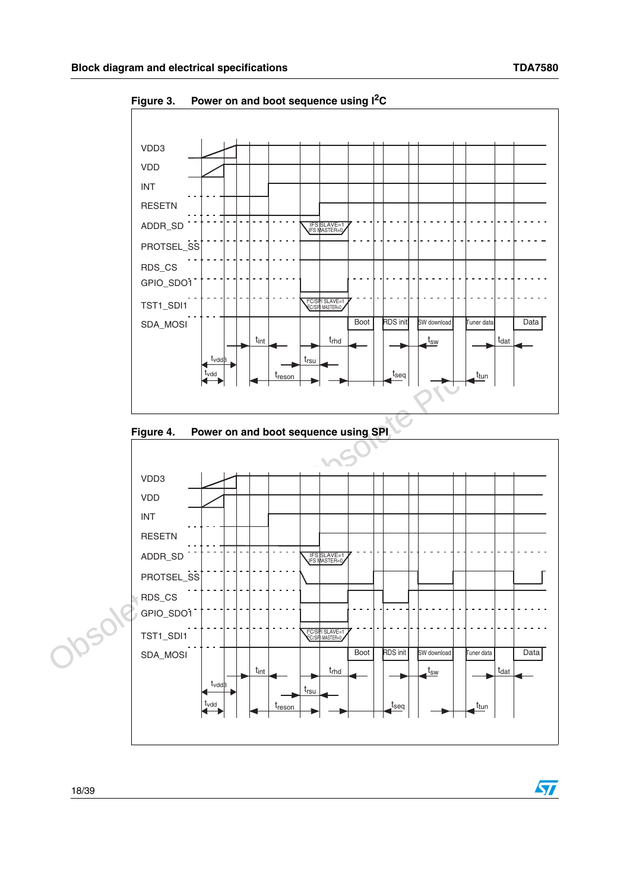$\sqrt{2}$ 



<span id="page-17-0"></span>**Figure 3. Power on and boot sequence using I2C**

<span id="page-17-1"></span>

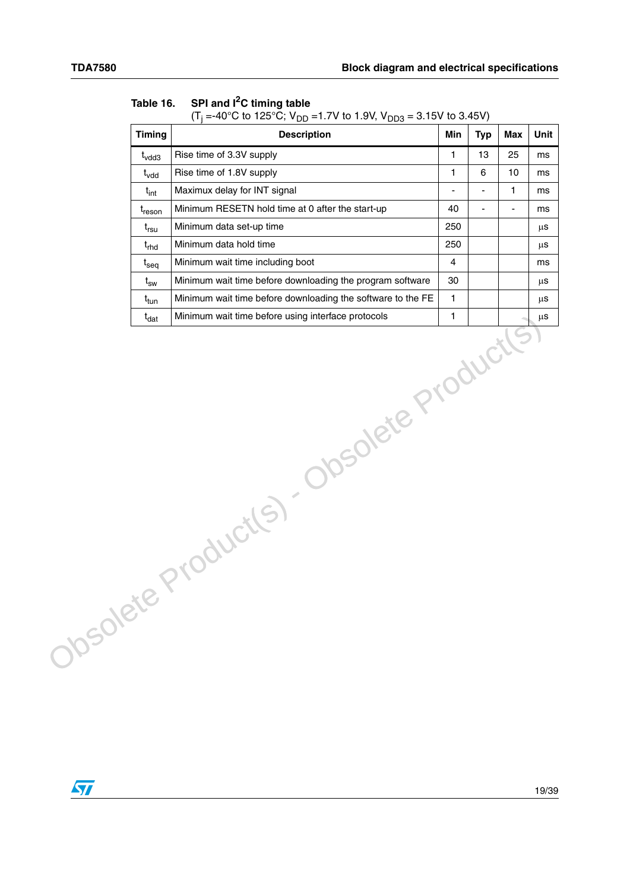| <b>Timing</b>                                | ◡<br>ບບ∪<br><b>Description</b>                              | Min            | <b>Typ</b>     | <b>Max</b> | Unit    |  |
|----------------------------------------------|-------------------------------------------------------------|----------------|----------------|------------|---------|--|
| $t_{\text{vdd3}}$                            | Rise time of 3.3V supply                                    | $\mathbf{1}$   | 13             | 25         | ms      |  |
| Rise time of 1.8V supply<br>$t_{\text{vdd}}$ |                                                             | $\mathbf{1}$   | 6              | 10         | ms      |  |
| $t_{int}$                                    | Maximux delay for INT signal                                | $\blacksquare$ | $\blacksquare$ | 1          | ms      |  |
| $t_{\text{reson}}$                           | Minimum RESETN hold time at 0 after the start-up            | 40             | ÷,             | ä,         | ms      |  |
| $t_{rsu}$                                    | Minimum data set-up time                                    | 250            |                |            | $\mu$ s |  |
| $t_{rhd}$                                    | Minimum data hold time                                      | 250            |                |            | μs      |  |
| $t_{seq}$                                    | Minimum wait time including boot                            | 4              |                |            | ms      |  |
| $\rm t_{sw}$                                 | Minimum wait time before downloading the program software   | 30             |                |            | μs      |  |
| $t_{\sf tun}$                                | Minimum wait time before downloading the software to the FE | $\mathbf{1}$   |                |            | μS      |  |
|                                              |                                                             |                |                |            |         |  |
|                                              | Josolete Product(s) - Obsolete Product(s)                   |                |                |            |         |  |
|                                              |                                                             |                |                |            |         |  |

### <span id="page-18-0"></span>**Table 16. SPI and I2C timing table**

(T<sub>j</sub> =-40°C to 125°C; V<sub>DD</sub> =1.7V to 1.9V, V<sub>DD3</sub> = 3.15V to 3.45V)

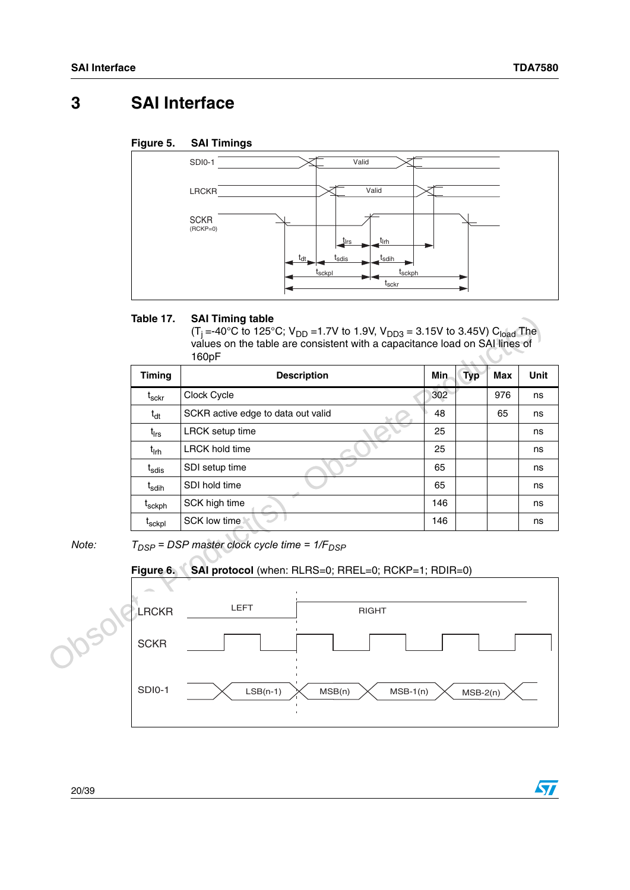$\sqrt{2}$ 

# <span id="page-19-0"></span>**3 SAI Interface**

### <span id="page-19-2"></span>**Figure 5. SAI Timings**



#### <span id="page-19-1"></span>Table 17. **SAI Timing table**

|       | Table 17.                    | <b>SAI Timing table</b><br>(T <sub>i</sub> =-40°C to 125°C; V <sub>DD</sub> =1.7V to 1.9V, V <sub>DD3</sub> = 3.15V to 3.45V) C <sub>load</sub> The<br>values on the table are consistent with a capacitance load on SAI lines of<br>160pF |            |            |     |             |  |
|-------|------------------------------|--------------------------------------------------------------------------------------------------------------------------------------------------------------------------------------------------------------------------------------------|------------|------------|-----|-------------|--|
|       | <b>Timing</b>                | <b>Description</b>                                                                                                                                                                                                                         | <b>Min</b> | <b>Typ</b> | Max | <b>Unit</b> |  |
|       | $\mathfrak{t}_{\sf sckr}$    | Clock Cycle                                                                                                                                                                                                                                | 302        |            | 976 | ns          |  |
|       | $t_{dt}$                     | SCKR active edge to data out valid                                                                                                                                                                                                         | 48         |            | 65  | ns          |  |
|       | $t_{\sf lrs}$                | <b>LRCK</b> setup time                                                                                                                                                                                                                     | 25         |            |     | ns          |  |
|       | $t_{\text{lrh}}$             | <b>LRCK hold time</b>                                                                                                                                                                                                                      | 25         |            |     | ns          |  |
|       | t <sub>sdis</sub>            | SDI setup time                                                                                                                                                                                                                             | 65         |            |     |             |  |
|       | $\mathsf{t}_{\mathsf{sdih}}$ | SDI hold time                                                                                                                                                                                                                              | 65         |            |     | ns          |  |
|       | t <sub>sckph</sub>           | SCK high time                                                                                                                                                                                                                              | 146        |            |     | ns          |  |
|       | t <sub>sckpl</sub>           | SCK low time                                                                                                                                                                                                                               | 146        |            |     | ns          |  |
| Note: | Figure 6.                    | $T_{DSP}$ = DSP master clock cycle time = $1/F_{DSP}$<br>SAI protocol (when: RLRS=0; RREL=0; RCKP=1; RDIR=0)                                                                                                                               |            |            |     |             |  |
|       | <b>LRCKR</b>                 | <b>LEFT</b><br><b>RIGHT</b>                                                                                                                                                                                                                |            |            |     |             |  |
|       | <b>SCKR</b>                  |                                                                                                                                                                                                                                            |            |            |     |             |  |

# <span id="page-19-3"></span>**Figure 6. SAI protocol** (when: RLRS=0; RREL=0; RCKP=1; RDIR=0) LEFT | RIGHT **SCKR** SDI0-1 **LRCKR** LSB(n-1)  $\times$  MSB(n)  $\times$  MSB-1(n)  $\times$  MSB-2(n)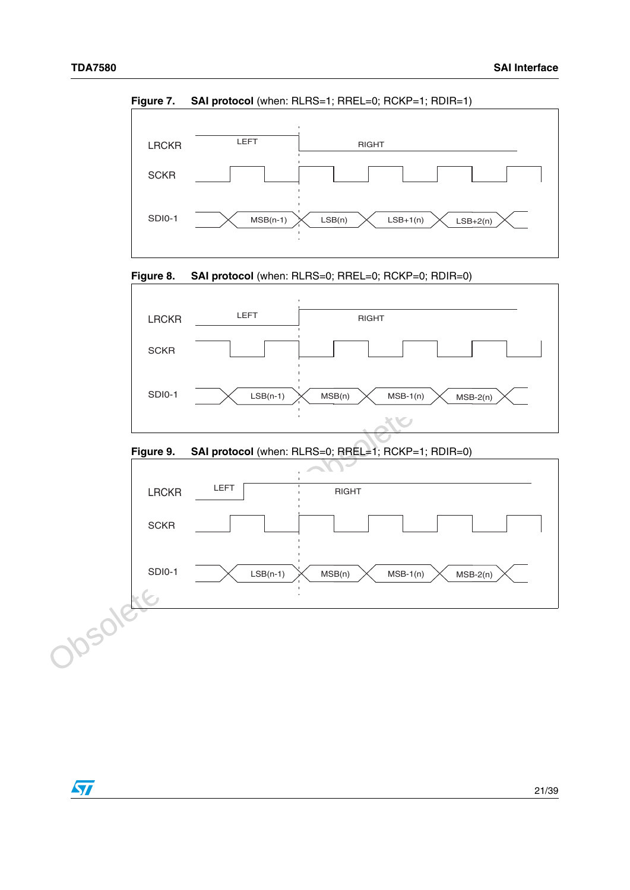

<span id="page-20-0"></span>**Figure 7.** SAI protocol (when: RLRS=1; RREL=0; RCKP=1; RDIR=1)

<span id="page-20-1"></span>

### <span id="page-20-2"></span>**Figure 9. SAI protocol** (when: RLRS=0; RREL=1; RCKP=1; RDIR=0)



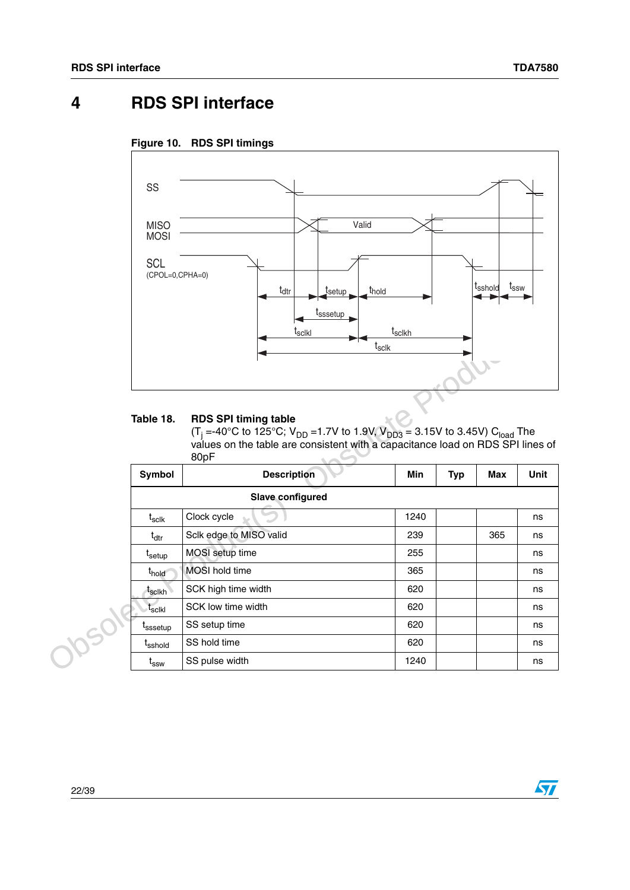$\sqrt{2}$ 

# <span id="page-21-0"></span>**4 RDS SPI interface**

<span id="page-21-2"></span>



#### <span id="page-21-1"></span>**Table 18. RDS SPI timing table**

|  |                               | <b>SSSetup</b><br><b>Isclkl</b><br>t <sub>sclk</sub>                                                                                                                                                                                              | t <sub>sclkh</sub> |            |     |      |
|--|-------------------------------|---------------------------------------------------------------------------------------------------------------------------------------------------------------------------------------------------------------------------------------------------|--------------------|------------|-----|------|
|  | Table 18.                     | <b>RDS SPI timing table</b><br>(T <sub>i</sub> =-40°C to 125°C; V <sub>DD</sub> =1.7V to 1.9V, V <sub>DD3</sub> = 3.15V to 3.45V) C <sub>load</sub> The<br>values on the table are consistent with a capacitance load on RDS SPI lines of<br>80pF |                    |            |     |      |
|  | Symbol                        | <b>Description</b><br><b>Slave configured</b>                                                                                                                                                                                                     | Min                | <b>Typ</b> | Max | Unit |
|  |                               |                                                                                                                                                                                                                                                   |                    |            |     |      |
|  | $\mathsf{t}_{\mathsf{sclk}}$  | Clock cycle                                                                                                                                                                                                                                       | 1240               |            |     | ns   |
|  | $t_{\text{dtr}}$              | Sclk edge to MISO valid                                                                                                                                                                                                                           | 239                |            | 365 | ns   |
|  | t <sub>setup</sub>            | MOSI setup time                                                                                                                                                                                                                                   | 255                |            |     | ns   |
|  | t <sub>hold</sub>             | MOSI hold time                                                                                                                                                                                                                                    | 365                |            |     | ns   |
|  | $\mathfrak{r}_{\text{scikh}}$ | SCK high time width                                                                                                                                                                                                                               | 620                |            |     | ns   |
|  | $\mathsf{t}_{\mathsf{sclkl}}$ | SCK low time width                                                                                                                                                                                                                                | 620                |            |     | ns   |
|  | <sup>I</sup> sssetup          | SS setup time                                                                                                                                                                                                                                     | 620                |            |     | ns   |
|  | t <sub>sshold</sub>           | SS hold time                                                                                                                                                                                                                                      | 620                |            |     | ns   |
|  | $\mathfrak{t}_{\mathtt{ssw}}$ | SS pulse width                                                                                                                                                                                                                                    | 1240               |            |     | ns   |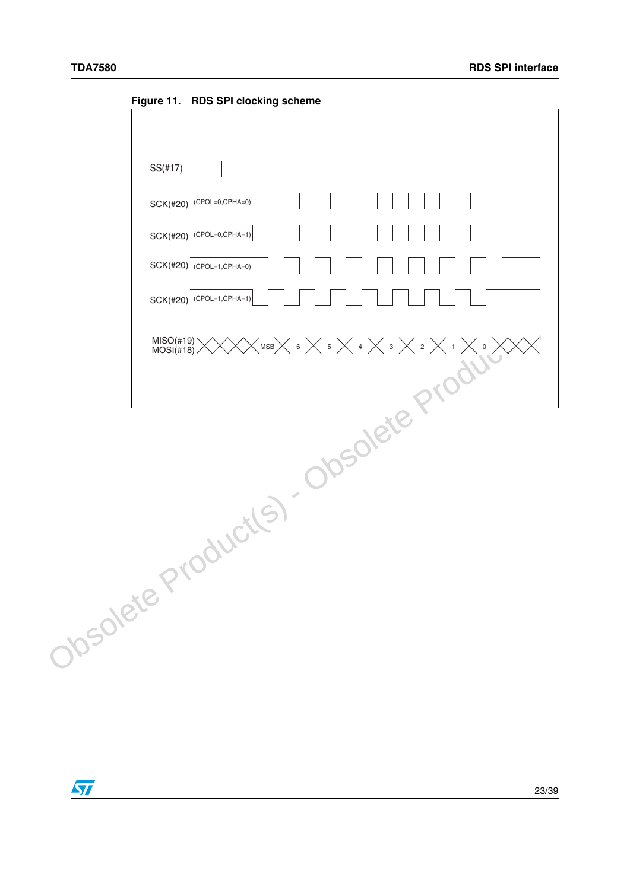<span id="page-22-0"></span>**Figure 11. RDS SPI clocking scheme**

| $SS(\#17)$                                                |
|-----------------------------------------------------------|
| SCK(#20) (CPOL=0,CPHA=0)                                  |
| SCK(#20) (CPOL=0,CPHA=1)                                  |
| SCK(#20) (CPOL=1,CPHA=0)                                  |
| SCK(#20) (CPOL=1,CPHA=1)                                  |
| MISO(#19)<br>MOSI(#18)<br>${\sf MSB}$<br>6<br>5<br>3<br>4 |
| Produi                                                    |
| Josolete Product(s) - Obsolete                            |
|                                                           |
|                                                           |
|                                                           |
|                                                           |
|                                                           |

 $\sqrt{2}$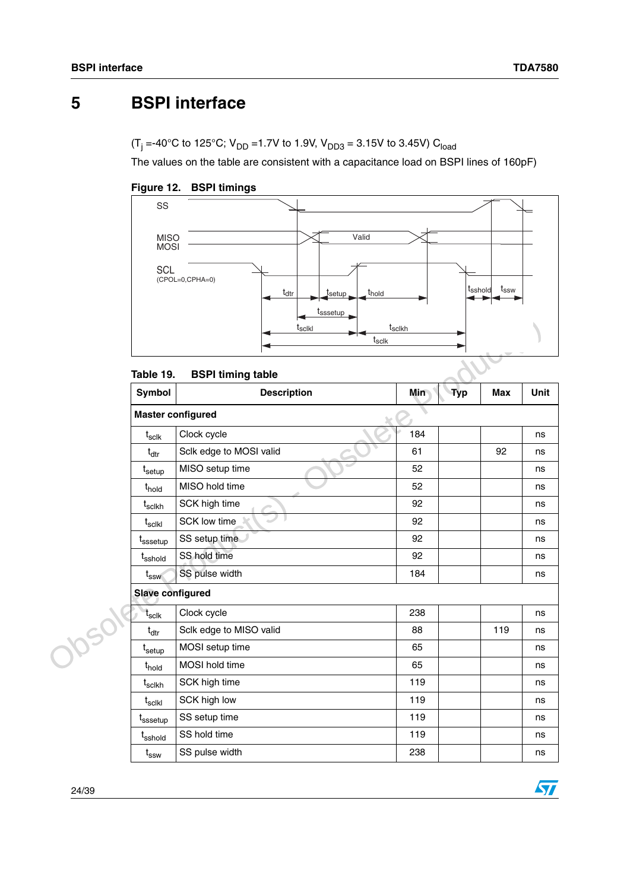# <span id="page-23-0"></span>**5 BSPI interface**

(T<sub>j</sub> =-40°C to 125°C; V<sub>DD</sub> =1.7V to 1.9V, V<sub>DD3</sub> = 3.15V to 3.45V) C<sub>load</sub>

The values on the table are consistent with a capacitance load on BSPI lines of 160pF)

<span id="page-23-2"></span>



#### <span id="page-23-1"></span>**Table 19. BSPI timing table**

|             |                                            | oooctup<br>t <sub>sclkl</sub><br>t <sub>sclk</sub> | tsclkh |            |            |      |
|-------------|--------------------------------------------|----------------------------------------------------|--------|------------|------------|------|
|             | Table 19.                                  | <b>BSPI timing table</b>                           |        |            |            |      |
|             | Symbol                                     | <b>Description</b>                                 | Min    | <b>Typ</b> | <b>Max</b> | Unit |
|             |                                            | <b>Master configured</b>                           |        |            |            |      |
|             | $\mathfrak{t}_{\text{s}$ clk               | Clock cycle                                        | 184    |            |            | ns   |
|             | $t_{\text{dtr}}$                           | Sclk edge to MOSI valid                            | 61     |            | 92         | ns   |
|             | $t_{\sf setup}$                            | MISO setup time                                    | 52     |            |            | ns   |
|             | t <sub>hold</sub>                          | MISO hold time                                     | 52     |            |            | ns   |
|             | $t_{\rm{scikh}}$                           | SCK high time                                      | 92     |            |            | ns   |
|             | $\mathsf{t}_{\mathsf{sclkl}}$              | SCK low time                                       | 92     |            |            | ns   |
|             | t <sub>sssetup</sub>                       | SS setup time                                      | 92     |            |            | ns   |
|             | t <sub>sshold</sub>                        | SS hold time                                       | 92     |            |            | ns   |
|             | $t_{ssw}$                                  | SS pulse width                                     | 184    |            |            | ns   |
|             | <b>Slave configured</b>                    |                                                    |        |            |            |      |
| <b>2050</b> | $t_{\sf sclk}$                             | Clock cycle                                        | 238    |            |            | ns   |
|             | $t_{\rm dtr}$                              | Sclk edge to MISO valid                            | 88     |            | 119        | ns   |
|             | $t_{\sf setup}$                            | MOSI setup time                                    | 65     |            |            | ns   |
|             | t <sub>hold</sub>                          | MOSI hold time                                     | 65     |            |            | ns   |
|             | $t_{\sf scIkh}$                            | SCK high time                                      | 119    |            |            | ns   |
|             | $t_{\sf sc\mathsf{l}\mathsf{k}\mathsf{l}}$ | SCK high low                                       | 119    |            |            | ns   |
|             | t <sub>sssetup</sub>                       | SS setup time                                      | 119    |            |            | ns   |
|             | t <sub>sshold</sub>                        | SS hold time                                       | 119    |            |            | ns   |
|             | $t_{\rm ssw}$                              | SS pulse width                                     | 238    |            |            | ns   |

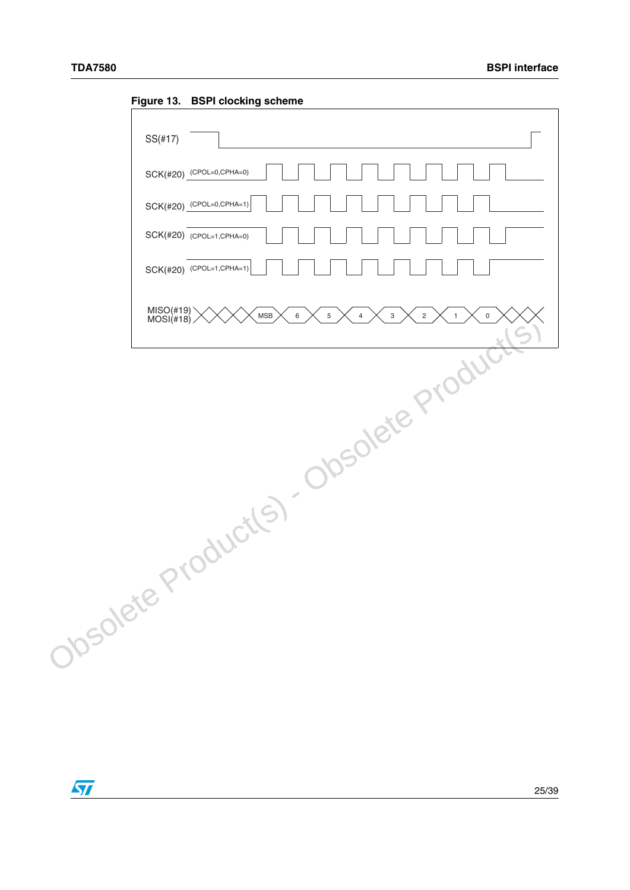|            | Figure 13. BSPI clocking scheme        |
|------------|----------------------------------------|
| $SS(\#17)$ |                                        |
|            | SCK(#20) (CPOL=0,CPHA=0)               |
|            | SCK(#20) (CPOL=0,CPHA=1)               |
|            | SCK(#20) (CPOL=1,CPHA=0)               |
|            | SCK(#20) (CPOL=1,CPHA=1)               |
|            |                                        |
|            | Josolete Product(s). Obsolete Products |
|            |                                        |

<span id="page-24-0"></span>**Figure 13. BSPI clocking scheme**

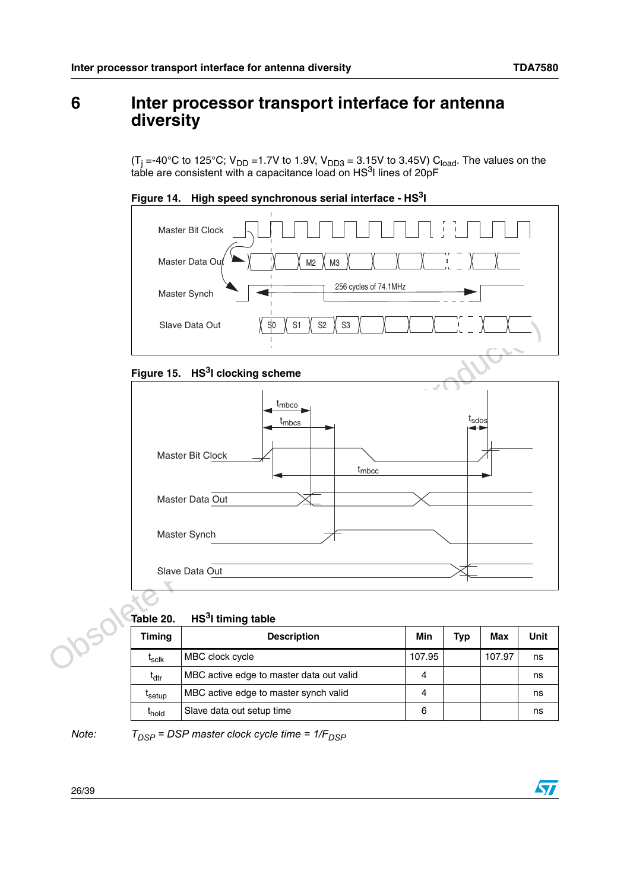# <span id="page-25-0"></span>**6 Inter processor transport interface for antenna diversity**

(T<sub>j</sub> =-40°C to 125°C; V<sub>DD</sub> =1.7V to 1.9V, V<sub>DD3</sub> = 3.15V to 3.45V) C<sub>load</sub>. The values on the table are consistent with a capacitance load on  $HS<sup>3</sup>$  lines of 20pF

<span id="page-25-2"></span>



### <span id="page-25-3"></span>**Figure 15. HS3I clocking scheme**



### <span id="page-25-1"></span>**Table 20. HS3I timing table**

| Table 20.          | HS <sup>3</sup> I timing table           |        |            |        |      |
|--------------------|------------------------------------------|--------|------------|--------|------|
| <b>Timing</b>      | <b>Description</b>                       | Min    | <b>Typ</b> | Max    | Unit |
| $I_{\rm Solk}$     | MBC clock cycle                          | 107.95 |            | 107.97 | ns   |
| t <sub>dtr</sub>   | MBC active edge to master data out valid | 4      |            |        | ns   |
| <sup>L</sup> setup | MBC active edge to master synch valid    | 4      |            |        | ns   |
| t <sub>hold</sub>  | Slave data out setup time                | 6      |            |        | ns   |

*Note:*  $T_{DSP}$  = DSP master clock cycle time =  $1/F_{DSP}$ 

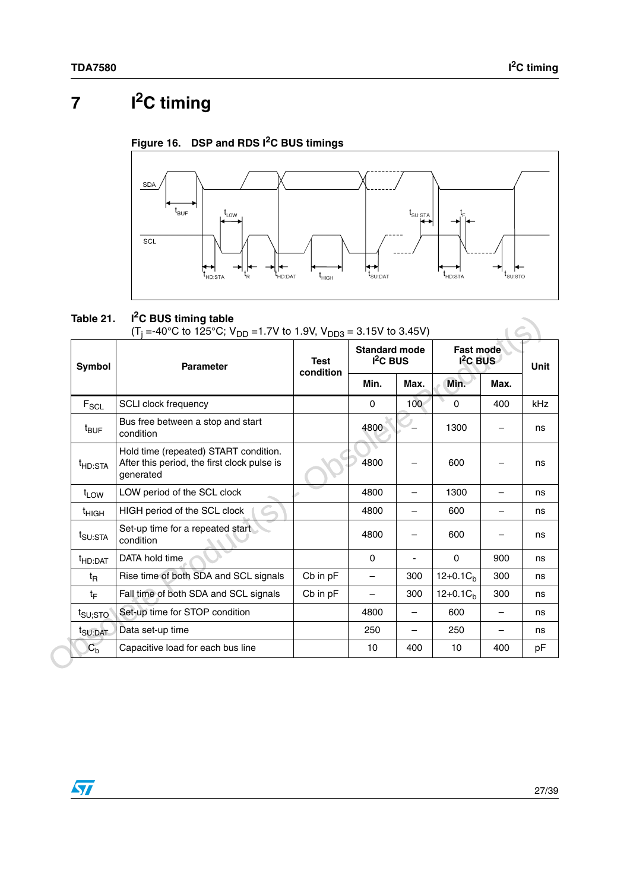# <span id="page-26-0"></span>**7 I2C timing**

<span id="page-26-2"></span>



### <span id="page-26-1"></span>**Table 21. I2C BUS timing table**

| <b>Symbol</b>       | <b>Parameter</b>                                                                                  | <b>Test</b> | <b>Standard mode</b><br>$I2C$ BUS |      | <b>Fast mode</b><br>$12C$ BUS | Unit |     |
|---------------------|---------------------------------------------------------------------------------------------------|-------------|-----------------------------------|------|-------------------------------|------|-----|
|                     |                                                                                                   | condition   | Min.                              | Max. | Min.                          | Max. |     |
| $F_{SCL}$           | <b>SCLI clock frequency</b>                                                                       |             | $\mathbf 0$                       | 100  | $\mathbf 0$                   | 400  | kHz |
| <sup>t</sup> BUF    | Bus free between a stop and start<br>condition                                                    |             | 4800                              |      | 1300                          |      |     |
| <sup>t</sup> HD:STA | Hold time (repeated) START condition.<br>After this period, the first clock pulse is<br>generated |             | 4800                              |      | 600                           |      |     |
| $t_{LOW}$           | LOW period of the SCL clock                                                                       |             | 4800                              |      | 1300                          |      |     |
| $t_{HIGH}$          | HIGH period of the SCL clock                                                                      |             | 4800                              |      | 600                           |      |     |
| t <sub>SU:STA</sub> | Set-up time for a repeated start<br>condition                                                     |             | 4800                              |      | 600                           |      |     |
| <sup>t</sup> HD:DAT | DATA hold time                                                                                    |             | $\Omega$                          |      | $\mathbf 0$                   | 900  |     |
| t <sub>R</sub>      | Rise time of both SDA and SCL signals                                                             | Cb in pF    | $\overline{\phantom{0}}$          | 300  | $12+0.1C_h$                   | 300  |     |
| tF                  | Fall time of both SDA and SCL signals                                                             | Cb in pF    |                                   | 300  | $12+0.1C_h$                   | 300  |     |
| $t_{\text{SU;STO}}$ | Set-up time for STOP condition                                                                    |             | 4800                              |      | 600                           |      |     |
| t <sub>SU:DAT</sub> | Data set-up time                                                                                  |             | 250                               |      | 250                           |      |     |
| C <sub>b</sub>      | Capacitive load for each bus line                                                                 |             | 10                                | 400  | 10                            | 400  |     |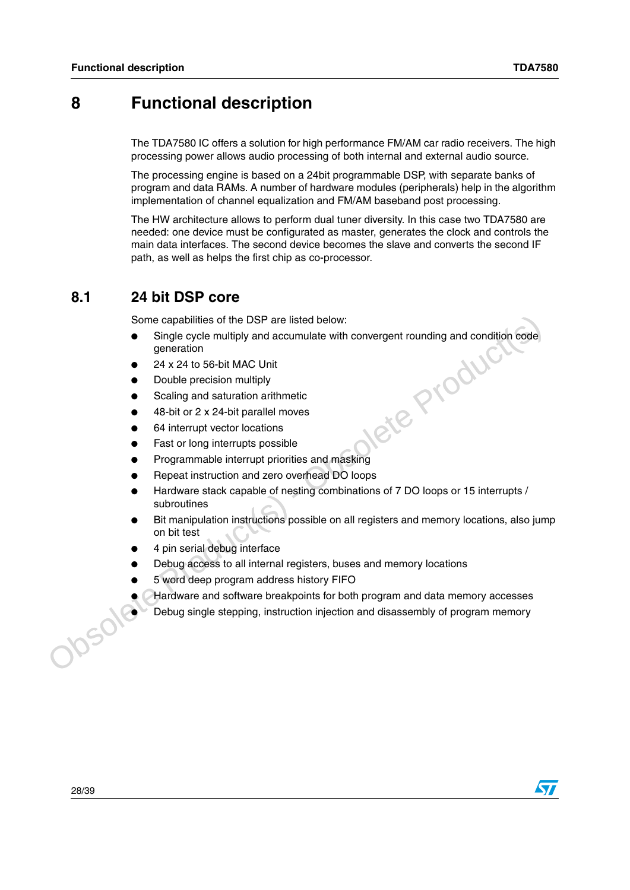# <span id="page-27-0"></span>**8 Functional description**

The TDA7580 IC offers a solution for high performance FM/AM car radio receivers. The high processing power allows audio processing of both internal and external audio source.

The processing engine is based on a 24bit programmable DSP, with separate banks of program and data RAMs. A number of hardware modules (peripherals) help in the algorithm implementation of channel equalization and FM/AM baseband post processing.

The HW architecture allows to perform dual tuner diversity. In this case two TDA7580 are needed: one device must be configurated as master, generates the clock and controls the main data interfaces. The second device becomes the slave and converts the second IF path, as well as helps the first chip as co-processor.

### <span id="page-27-1"></span>**8.1 24 bit DSP core**

Some capabilities of the DSP are listed below:

- Single cycle multiply and accumulate with convergent rounding and condition code<br>generation<br>24 x 24 to 56-bit MAC Unit<br>Double precision multiply<br>Scaling and saturation arithmetic<br>48-bit or 2 x 24-bit parallel moves<br>64 inte generation
- 24 x 24 to 56-bit MAC Unit
- Double precision multiply
- Scaling and saturation arithmetic
- 48-bit or 2 x 24-bit parallel moves
- 64 interrupt vector locations
- Fast or long interrupts possible
- Programmable interrupt priorities and masking
- Repeat instruction and zero overhead DO loops
- Hardware stack capable of nesting combinations of 7 DO loops or 15 interrupts / subroutines
- Some capabilities of the DSP are listed below:<br>
 Single cyle multiply and accumulate with convergent rounding and condition code<br>
generation<br>
 24 x 24 to 56-bit MAC Unit<br>
 Double precision multiply<br>
 Scaling and statur Bit manipulation instructions possible on all registers and memory locations, also jump on bit test
	- 4 pin serial debug interface
	- Debug access to all internal registers, buses and memory locations
	- 5 word deep program address history FIFO
	- Hardware and software breakpoints for both program and data memory accesses<br>Debug single stepping, instruction injection and disassembly of program memory<br>Debug single stepping, instruction injection and disassembly of pro
		- Debug single stepping, instruction injection and disassembly of program memory

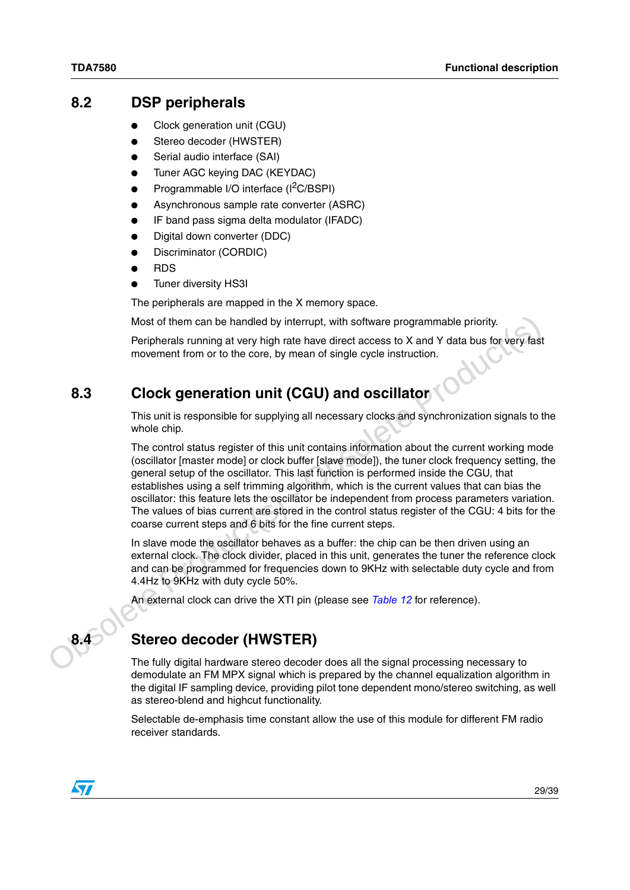### <span id="page-28-0"></span>**8.2 DSP peripherals**

- Clock generation unit (CGU)
- Stereo decoder (HWSTER)
- Serial audio interface (SAI)
- Tuner AGC keying DAC (KEYDAC)
- Programmable I/O interface (I<sup>2</sup>C/BSPI)
- Asynchronous sample rate converter (ASRC)
- IF band pass sigma delta modulator (IFADC)
- Digital down converter (DDC)
- Discriminator (CORDIC)
- **RDS**
- Tuner diversity HS3I

The peripherals are mapped in the X memory space.

Most of them can be handled by interrupt, with software programmable priority.

Peripherals running at very high rate have direct access to X and Y data bus for very fast movement from or to the core, by mean of single cycle instruction.

## <span id="page-28-1"></span>**8.3 Clock generation unit (CGU) and oscillator**

This unit is responsible for supplying all necessary clocks and synchronization signals to the whole chip.

Most of them can be handled by interrupt, with software programmable priority.<br>
Peripherals running at very high rate have direct access to X and Y data bus for very fast<br>
movement from or to the core, by mean of single c The control status register of this unit contains information about the current working mode (oscillator [master mode] or clock buffer [slave mode]), the tuner clock frequency setting, the general setup of the oscillator. This last function is performed inside the CGU, that establishes using a self trimming algorithm, which is the current values that can bias the oscillator: this feature lets the oscillator be independent from process parameters variation. The values of bias current are stored in the control status register of the CGU: 4 bits for the coarse current steps and 6 bits for the fine current steps.

In slave mode the oscillator behaves as a buffer: the chip can be then driven using an external clock. The clock divider, placed in this unit, generates the tuner the reference clock and can be programmed for frequencies down to 9KHz with selectable duty cycle and from 4.4Hz to 9KHz with duty cycle 50%.

An external clock can drive the XTI pin (please see *Table 12* for reference).

<span id="page-28-2"></span>

### **8.4 Stereo decoder (HWSTER)**

The fully digital hardware stereo decoder does all the signal processing necessary to demodulate an FM MPX signal which is prepared by the channel equalization algorithm in the digital IF sampling device, providing pilot tone dependent mono/stereo switching, as well as stereo-blend and highcut functionality.

Selectable de-emphasis time constant allow the use of this module for different FM radio receiver standards.

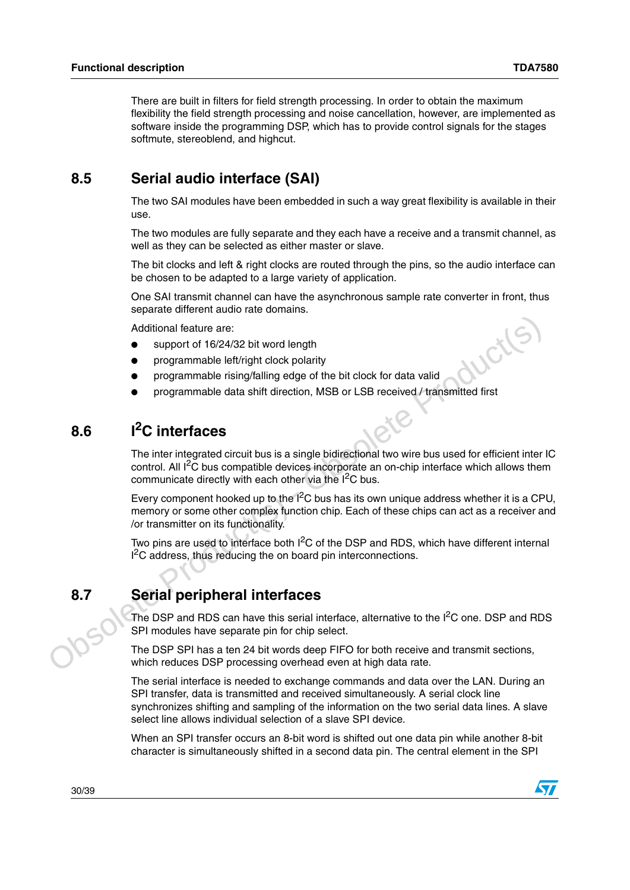There are built in filters for field strength processing. In order to obtain the maximum flexibility the field strength processing and noise cancellation, however, are implemented as software inside the programming DSP, which has to provide control signals for the stages softmute, stereoblend, and highcut.

## <span id="page-29-0"></span>**8.5 Serial audio interface (SAI)**

The two SAI modules have been embedded in such a way great flexibility is available in their use.

The two modules are fully separate and they each have a receive and a transmit channel, as well as they can be selected as either master or slave.

The bit clocks and left & right clocks are routed through the pins, so the audio interface can be chosen to be adapted to a large variety of application.

One SAI transmit channel can have the asynchronous sample rate converter in front, thus separate different audio rate domains.

Additional feature are:

- support of 16/24/32 bit word length
- programmable left/right clock polarity
- programmable rising/falling edge of the bit clock for data valid
- programmable data shift direction, MSB or LSB received / transmitted first

# <span id="page-29-1"></span>**8.6 I2C interfaces**

The inter integrated circuit bus is a single bidirectional two wire bus used for efficient inter IC control. All I<sup>2</sup>C bus compatible devices incorporate an on-chip interface which allows them communicate directly with each other via the  $I<sup>2</sup>C$  bus.

Additional feature are:<br>
• support of 16/24/32 bit word length<br>
• programmable ieling/falling edge of the bit clock for data valid<br>
• programmable ieling/falling edge of the bit clock for data valid<br>
• programmable elas sh Every component hooked up to the  $1^2C$  bus has its own unique address whether it is a CPU, memory or some other complex function chip. Each of these chips can act as a receiver and /or transmitter on its functionality.

Two pins are used to interface both  $1<sup>2</sup>C$  of the DSP and RDS, which have different internal <sup>2</sup>C address, thus reducing the on board pin interconnections.

# <span id="page-29-2"></span>**8.7 Serial peripheral interfaces**

The DSP and RDS can have this serial interface, alternative to the  $I<sup>2</sup>C$  one. DSP and RDS SPI modules have separate pin for chip select.

The DSP SPI has a ten 24 bit words deep FIFO for both receive and transmit sections, which reduces DSP processing overhead even at high data rate.

The serial interface is needed to exchange commands and data over the LAN. During an SPI transfer, data is transmitted and received simultaneously. A serial clock line synchronizes shifting and sampling of the information on the two serial data lines. A slave select line allows individual selection of a slave SPI device.

When an SPI transfer occurs an 8-bit word is shifted out one data pin while another 8-bit character is simultaneously shifted in a second data pin. The central element in the SPI

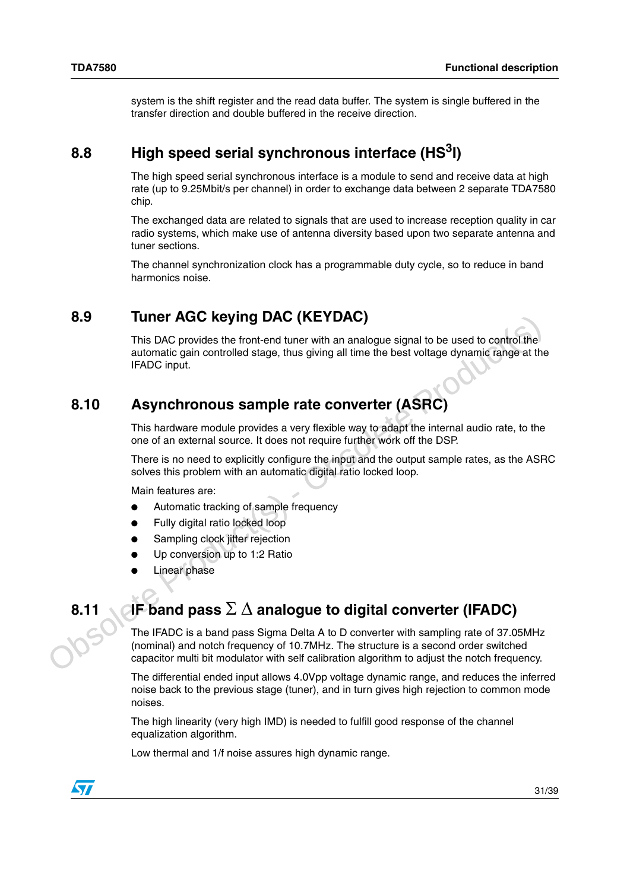system is the shift register and the read data buffer. The system is single buffered in the transfer direction and double buffered in the receive direction.

## <span id="page-30-0"></span>**8.8 High speed serial synchronous interface (HS3I)**

The high speed serial synchronous interface is a module to send and receive data at high rate (up to 9.25Mbit/s per channel) in order to exchange data between 2 separate TDA7580 chip.

The exchanged data are related to signals that are used to increase reception quality in car radio systems, which make use of antenna diversity based upon two separate antenna and tuner sections.

The channel synchronization clock has a programmable duty cycle, so to reduce in band harmonics noise.

## <span id="page-30-1"></span>**8.9 Tuner AGC keying DAC (KEYDAC)**

**S.9**<br> **Conserverse This DAC (Seyring DAC (KEYDAC)**<br>
This DAC provides the front-end tuner with an analogue signal to be used to control the<br>
automatic gain controlled stage, thus giving all time the best voltage dynami This DAC provides the front-end tuner with an analogue signal to be used to control the automatic gain controlled stage, thus giving all time the best voltage dynamic range at the IFADC input.

### <span id="page-30-2"></span>**8.10 Asynchronous sample rate converter (ASRC)**

This hardware module provides a very flexible way to adapt the internal audio rate, to the one of an external source. It does not require further work off the DSP.

There is no need to explicitly configure the input and the output sample rates, as the ASRC solves this problem with an automatic digital ratio locked loop.

Main features are:

- Automatic tracking of sample frequency
- Fully digital ratio locked loop
- Sampling clock jitter rejection
- Up conversion up to 1:2 Ratio
- **Linear phase**

# <span id="page-30-3"></span>**8.11 IF band pass** Σ Δ **analogue to digital converter (IFADC)**

The IFADC is a band pass Sigma Delta A to D converter with sampling rate of 37.05MHz (nominal) and notch frequency of 10.7MHz. The structure is a second order switched capacitor multi bit modulator with self calibration algorithm to adjust the notch frequency.

The differential ended input allows 4.0Vpp voltage dynamic range, and reduces the inferred noise back to the previous stage (tuner), and in turn gives high rejection to common mode noises.

The high linearity (very high IMD) is needed to fulfill good response of the channel equalization algorithm.

Low thermal and 1/f noise assures high dynamic range.

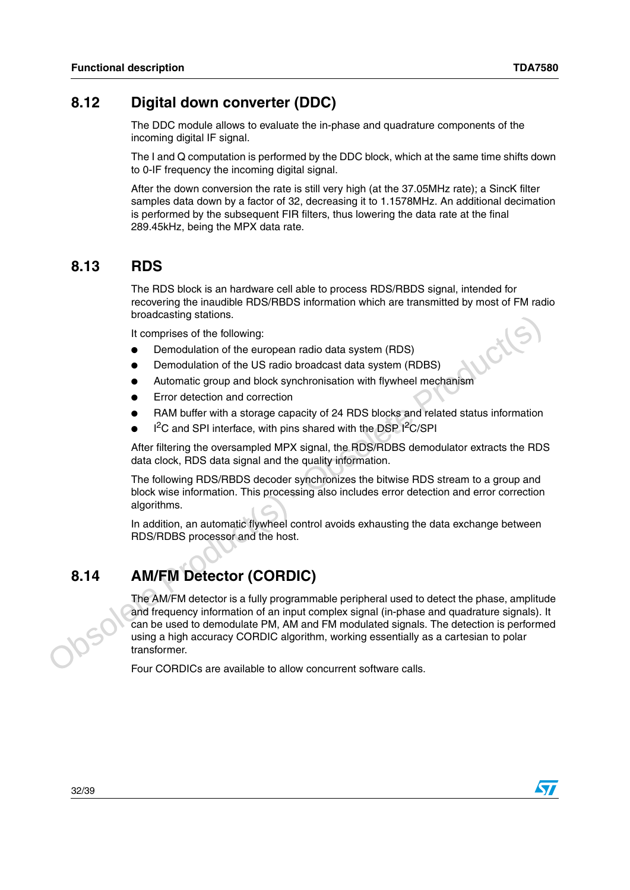### <span id="page-31-0"></span>**8.12 Digital down converter (DDC)**

The DDC module allows to evaluate the in-phase and quadrature components of the incoming digital IF signal.

The I and Q computation is performed by the DDC block, which at the same time shifts down to 0-IF frequency the incoming digital signal.

After the down conversion the rate is still very high (at the 37.05MHz rate); a SincK filter samples data down by a factor of 32, decreasing it to 1.1578MHz. An additional decimation is performed by the subsequent FIR filters, thus lowering the data rate at the final 289.45kHz, being the MPX data rate.

### <span id="page-31-1"></span>**8.13 RDS**

The RDS block is an hardware cell able to process RDS/RBDS signal, intended for recovering the inaudible RDS/RBDS information which are transmitted by most of FM radio broadcasting stations.

It comprises of the following:

- Demodulation of the european radio data system (RDS)
- Demodulation of the US radio broadcast data system (RDBS)
- Automatic group and block synchronisation with flywheel mechanism
- Error detection and correction
- RAM buffer with a storage capacity of 24 RDS blocks and related status information
- $\bullet$  I<sup>2</sup>C and SPI interface, with pins shared with the DSP I<sup>2</sup>C/SPI

After filtering the oversampled MPX signal, the RDS/RDBS demodulator extracts the RDS data clock, RDS data signal and the quality information.

The following RDS/RBDS decoder synchronizes the bitwise RDS stream to a group and block wise information. This processing also includes error detection and error correction algorithms.

In addition, an automatic flywheel control avoids exhausting the data exchange between RDS/RDBS processor and the host.

## <span id="page-31-2"></span>**8.14 AM/FM Detector (CORDIC)**

Dioudzastary stations<br>
in comprises of the following:<br>
Demodulation of the european radio data system (RDBS)<br>
• Demodulation of the US radio broadcast data system (RDBS)<br>
• Comodulation of the US radio broadcast data sys The AM/FM detector is a fully programmable peripheral used to detect the phase, amplitude and frequency information of an input complex signal (in-phase and quadrature signals). It can be used to demodulate PM, AM and FM modulated signals. The detection is performed using a high accuracy CORDIC algorithm, working essentially as a cartesian to polar transformer.

Four CORDICs are available to allow concurrent software calls.

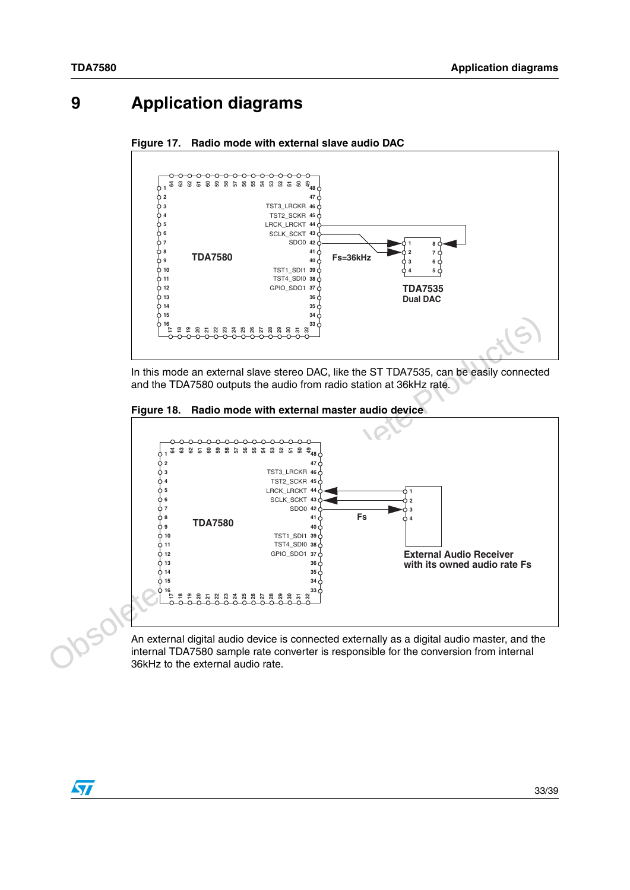# <span id="page-32-0"></span>**9 Application diagrams**

<span id="page-32-1"></span>



In this mode an external slave stereo DAC, like the ST TDA7535, can be easily connected and the TDA7580 outputs the audio from radio station at 36kHz rate.

<span id="page-32-2"></span>



An external digital audio device is connected externally as a digital audio master, and the internal TDA7580 sample rate converter is responsible for the conversion from internal 36kHz to the external audio rate.

 $\sqrt{}$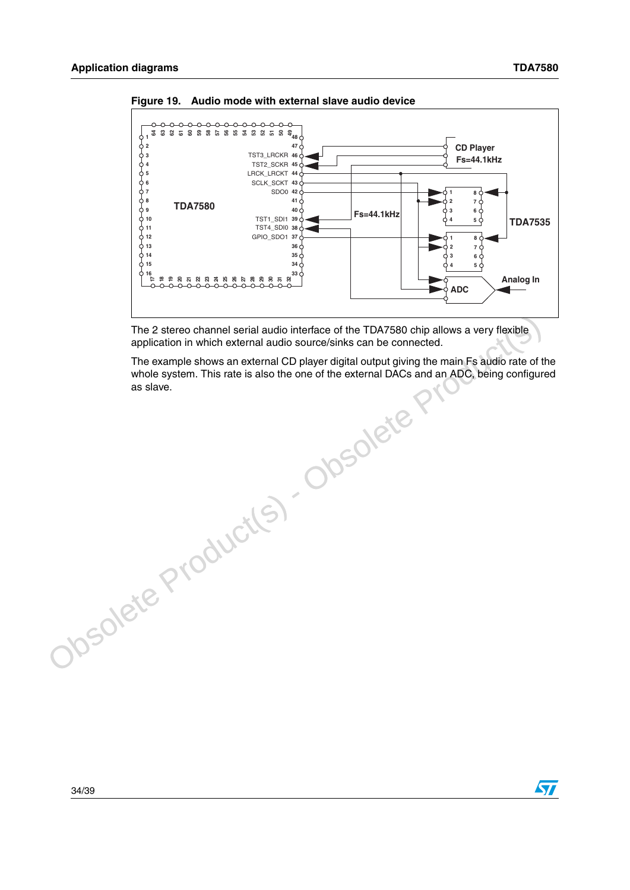$\overline{\mathbf{S}}$ 



<span id="page-33-0"></span>**Figure 19. Audio mode with external slave audio device**

The 2 stereo channel serial audio interface of the TDA7580 chip allows a very flexible application in which external audio source/sinks can be connected.

The 2 stereo channel serial audio interface of the TDA7580 chip allows a very flexible<br>application in which external audio source/sinks can be connected.<br>The example shows an external CD player digital output giving the ma The example shows an external CD player digital output giving the main Fs audio rate of the whole system. This rate is also the one of the external DACs and an ADC, being configured as slave.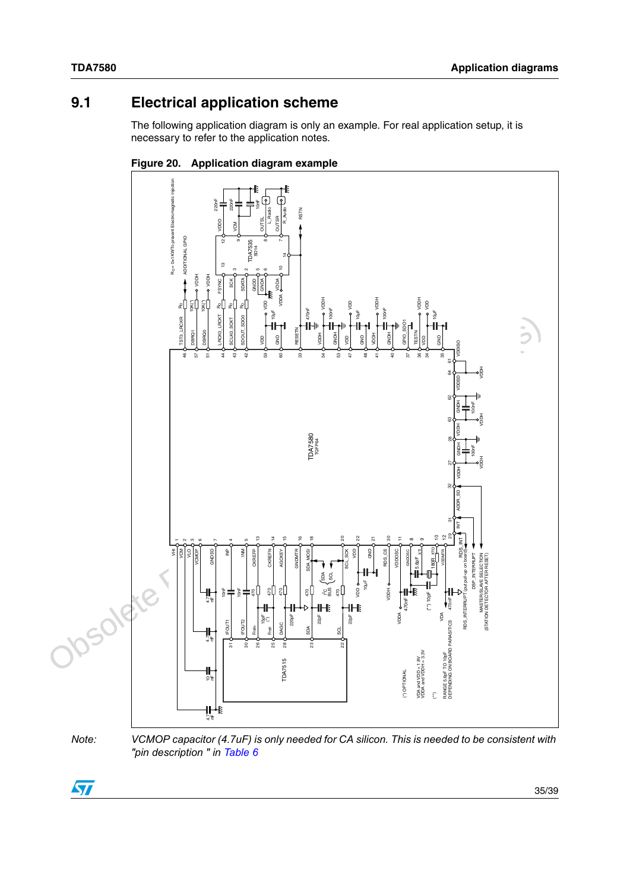# <span id="page-34-0"></span>**9.1 Electrical application scheme**

The following application diagram is only an example. For real application setup, it is necessary to refer to the application notes.



<span id="page-34-1"></span>

*Note: VCMOP capacitor (4.7uF) is only needed for CA silicon. This is needed to be consistent with "pin description " in [Table 6](#page-13-1)* 4.7

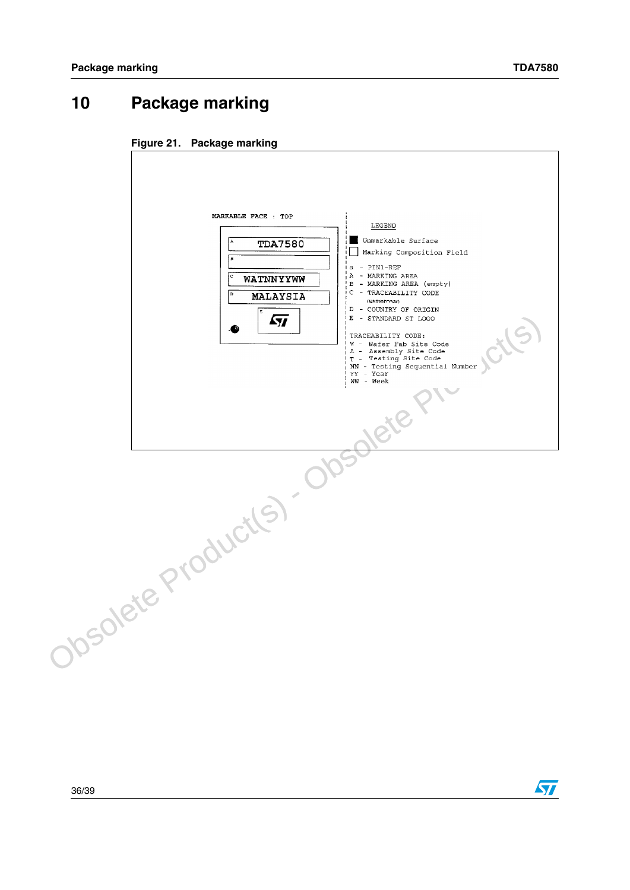$\sqrt{2}$ 

# <span id="page-35-0"></span>**10 Package marking**

<span id="page-35-1"></span>

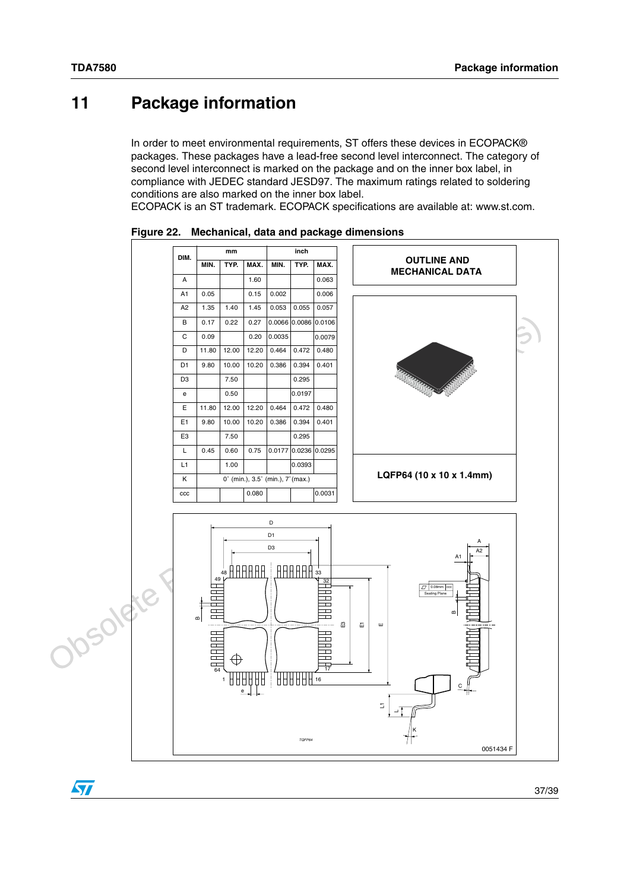# <span id="page-36-0"></span>**11 Package information**

In order to meet environmental requirements, ST offers these devices in ECOPACK® packages. These packages have a lead-free second level interconnect. The category of second level interconnect is marked on the package and on the inner box label, in compliance with JEDEC standard JESD97. The maximum ratings related to soldering conditions are also marked on the inner box label.

ECOPACK is an ST trademark. ECOPACK specifications are available at: www.st.com.



<span id="page-36-1"></span>**Figure 22. Mechanical, data and package dimensions**

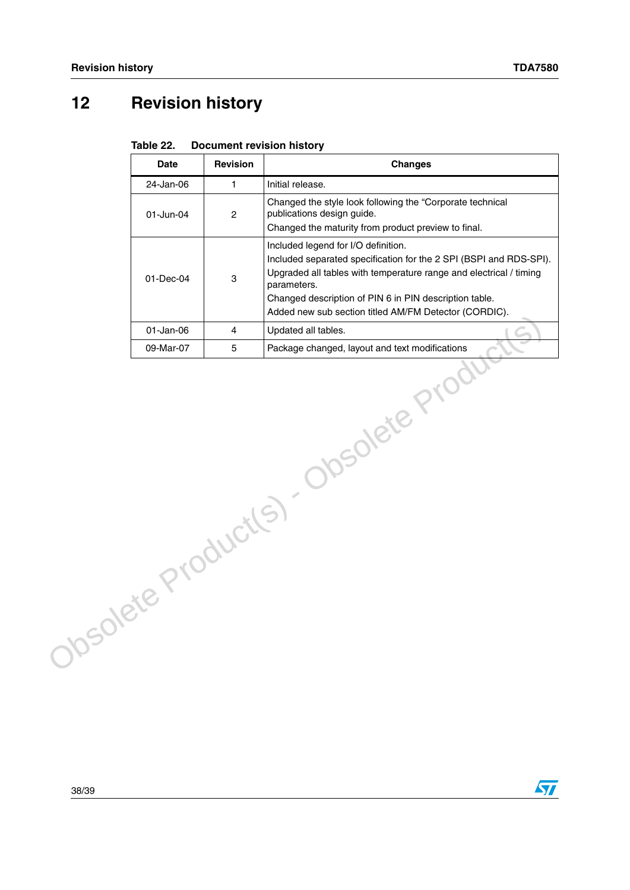# <span id="page-37-0"></span>**12 Revision history**

|                                    | <b>Date</b>  | <b>Revision</b> | <b>Changes</b>                                                                                                                                                                                                                                                                                                    |  |  |  |
|------------------------------------|--------------|-----------------|-------------------------------------------------------------------------------------------------------------------------------------------------------------------------------------------------------------------------------------------------------------------------------------------------------------------|--|--|--|
|                                    | 24-Jan-06    | 1               | Initial release.                                                                                                                                                                                                                                                                                                  |  |  |  |
|                                    | 01-Jun-04    | $\overline{c}$  | Changed the style look following the "Corporate technical<br>publications design guide.<br>Changed the maturity from product preview to final.                                                                                                                                                                    |  |  |  |
|                                    | 01-Dec-04    | 3               | Included legend for I/O definition.<br>Included separated specification for the 2 SPI (BSPI and RDS-SPI).<br>Upgraded all tables with temperature range and electrical / timing<br>parameters.<br>Changed description of PIN 6 in PIN description table.<br>Added new sub section titled AM/FM Detector (CORDIC). |  |  |  |
|                                    | $01$ -Jan-06 | 4               | Updated all tables.                                                                                                                                                                                                                                                                                               |  |  |  |
|                                    | 09-Mar-07    | $\overline{5}$  | Package changed, layout and text modifications                                                                                                                                                                                                                                                                    |  |  |  |
| Josolete Product(s). Obsolete Prod |              |                 |                                                                                                                                                                                                                                                                                                                   |  |  |  |

<span id="page-37-1"></span>Table 22. **Document revision history**